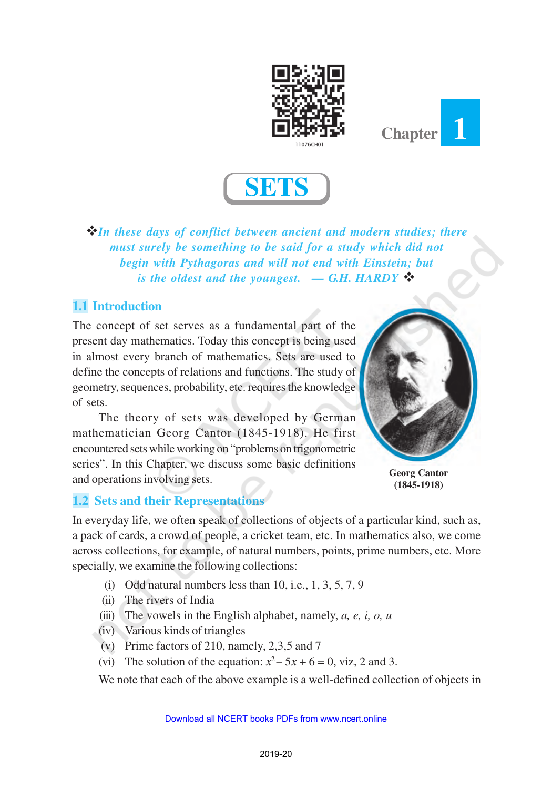





v*In these days of conflict between ancient and modern studies; there must surely be something to be said for a study which did not begin with Pythagoras and will not end with Einstein; but is the oldest and the youngest.*  $- G.H. HARDY$   $\diamondsuit$ 

# **1.1 Introduction**

The concept of set serves as a fundamental part of the present day mathematics. Today this concept is being used in almost every branch of mathematics. Sets are used to define the concepts of relations and functions. The study of geometry, sequences, probability, etc. requires the knowledge of sets.

The theory of sets was developed by German mathematician Georg Cantor (1845-1918). He first encountered sets while working on "problems on trigonometric series". In this Chapter, we discuss some basic definitions and operations involving sets.



**Georg Cantor (1845-1918)**

### **1.2 Sets and their Representations**

In everyday life, we often speak of collections of objects of a particular kind, such as, a pack of cards, a crowd of people, a cricket team, etc. In mathematics also, we come across collections, for example, of natural numbers, points, prime numbers, etc. More specially, we examine the following collections:

- (i) Odd natural numbers less than  $10$ , i.e.,  $1$ ,  $3$ ,  $5$ ,  $7$ ,  $9$
- (ii) The rivers of India
- (iii) The vowels in the English alphabet, namely, *a, e, i, o, u*
- (iv) Various kinds of triangles
- (v) Prime factors of 210, namely, 2,3,5 and 7
- (vi) The solution of the equation:  $x^2 5x + 6 = 0$ , viz, 2 and 3.

We note that each of the above example is a well-defined collection of objects in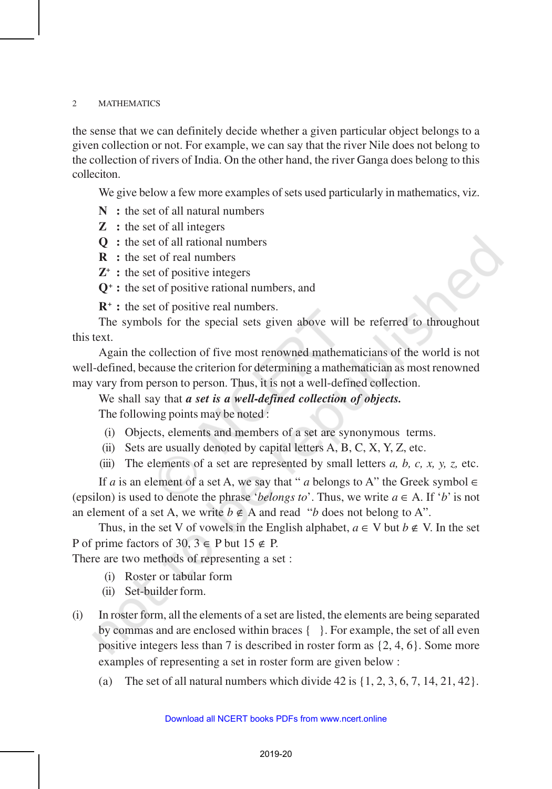the sense that we can definitely decide whether a given particular object belongs to a given collection or not. For example, we can say that the river Nile does not belong to the collection of rivers of India. On the other hand, the river Ganga does belong to this colleciton.

We give below a few more examples of sets used particularly in mathematics, viz.

- **N :** the set of all natural numbers
- **Z :** the set of all integers
- **Q :** the set of all rational numbers
- **R :** the set of real numbers
- **Z + :** the set of positive integers
- **Q<sup>+</sup> :** the set of positive rational numbers, and

**R<sup>+</sup> :** the set of positive real numbers.

The symbols for the special sets given above will be referred to throughout this text.

Again the collection of five most renowned mathematicians of the world is not well-defined, because the criterion for determining a mathematician as most renowned may vary from person to person. Thus, it is not a well-defined collection.

We shall say that *a set is a well-defined collection of objects.*

The following points may be noted :

- (i) Objects, elements and members of a set are synonymous terms.
- (ii) Sets are usually denoted by capital letters A, B, C, X, Y, Z, etc.
- (iii) The elements of a set are represented by small letters *a, b, c, x, y, z,* etc.

If *a* is an element of a set A, we say that " *a* belongs to A" the Greek symbol  $\in$ (epsilon) is used to denote the phrase '*belongs to*'. Thus, we write  $a \in A$ . If '*b*' is not an element of a set A, we write  $b \notin A$  and read "*b* does not belong to A".

Thus, in the set V of vowels in the English alphabet,  $a \in V$  but  $b \notin V$ . In the set P of prime factors of 30,  $3 \in$  P but  $15 \notin$  P.

There are two methods of representing a set :

- (i) Roster or tabular form
- (ii) Set-builder form.
- (i) In roster form, all the elements of a set are listed, the elements are being separated by commas and are enclosed within braces  $\{\ \}$ . For example, the set of all even positive integers less than 7 is described in roster form as {2, 4, 6}. Some more examples of representing a set in roster form are given below :
	- (a) The set of all natural numbers which divide  $42$  is  $\{1, 2, 3, 6, 7, 14, 21, 42\}$ .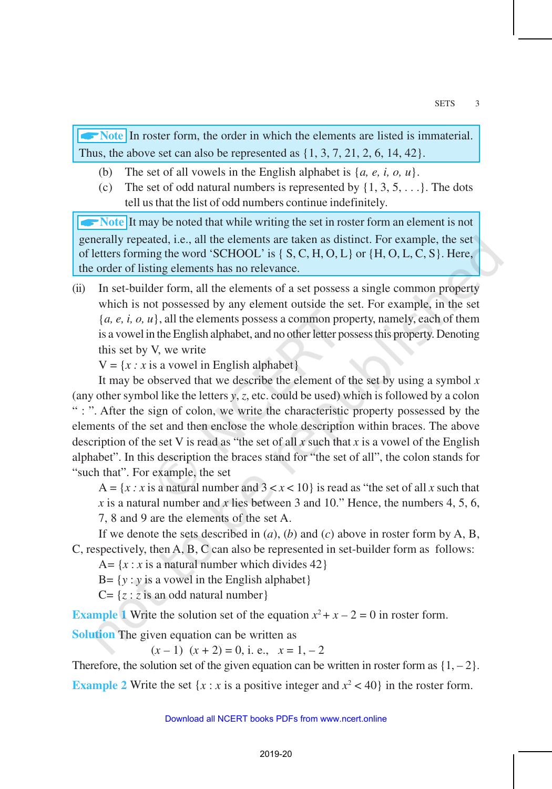A**Note** In roster form, the order in which the elements are listed is immaterial. Thus, the above set can also be represented as  $\{1, 3, 7, 21, 2, 6, 14, 42\}$ .

- (b) The set of all vowels in the English alphabet is {*a, e, i, o, u*}.
- (c) The set of odd natural numbers is represented by  $\{1, 3, 5, \ldots\}$ . The dots tell us that the list of odd numbers continue indefinitely.

**AND IT MOVE IT MOVE IT MOVE OF THE VEHICLE SET IT FOR THE INCOLLET THE INCOLLET THE INCOLLET THE INCOLLET THE INCOLLET THE INCOLLET THE INCOLLET THE INCOLLET THE INCOLLET THE INCOLLET THE INCOLLET THE INCOLLET THE INCOLLE** generally repeated, i.e., all the elements are taken as distinct. For example, the set of letters forming the word 'SCHOOL' is { S, C, H, O, L} or {H, O, L, C, S}. Here, the order of listing elements has no relevance.

(ii) In set-builder form, all the elements of a set possess a single common property which is not possessed by any element outside the set. For example, in the set  ${a, e, i, o, u}$ , all the elements possess a common property, namely, each of them is a vowel in the English alphabet, and no other letter possess this property. Denoting this set by V, we write

 $V = \{x : x \text{ is a vowel in English alphabet}\}\$ 

It may be observed that we describe the element of the set by using a symbol *x* (any other symbol like the letters *y*, *z*, etc. could be used) which is followed by a colon " : ". After the sign of colon, we write the characteristic property possessed by the elements of the set and then enclose the whole description within braces. The above description of the set V is read as "the set of all  $x$  such that  $x$  is a vowel of the English alphabet". In this description the braces stand for "the set of all", the colon stands for "such that". For example, the set

A =  $\{x : x \text{ is a natural number and } 3 < x < 10\}$  is read as "the set of all *x* such that *x* is a natural number and *x* lies between 3 and 10." Hence, the numbers 4, 5, 6, 7, 8 and 9 are the elements of the set A.

If we denote the sets described in (*a*), (*b*) and (*c*) above in roster form by A, B, C, respectively, then A, B, C can also be represented in set-builder form as follows:

A=  $\{x : x$  is a natural number which divides 42 $\}$ 

 $B = \{y : y \text{ is a vowel in the English alphabet}\}\$ 

 $C = \{z : z \text{ is an odd natural number}\}\$ 

**Example 1** Write the solution set of the equation  $x^2 + x - 2 = 0$  in roster form.

**Solution** The given equation can be written as

 $(x - 1)$   $(x + 2) = 0$ , i. e.,  $x = 1, -2$ 

Therefore, the solution set of the given equation can be written in roster form as  $\{1, -2\}$ .

**Example 2** Write the set  $\{x : x \text{ is a positive integer and } x^2 < 40\}$  in the roster form.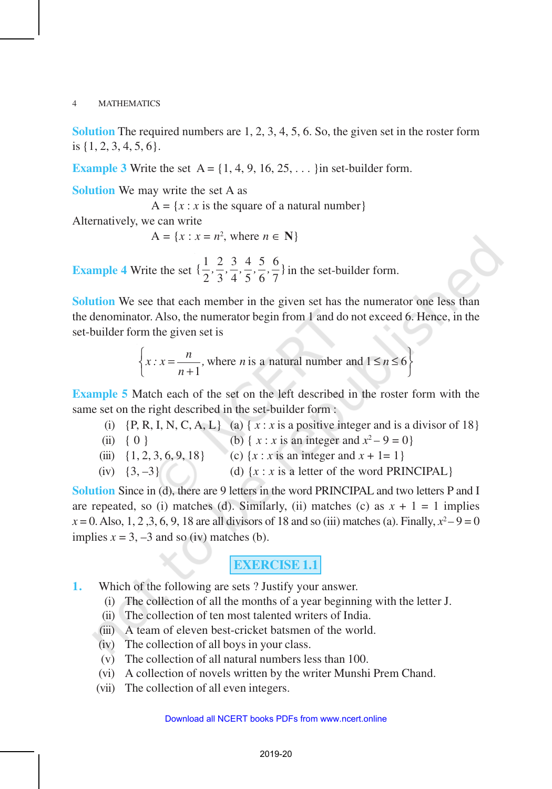**Solution** The required numbers are 1, 2, 3, 4, 5, 6. So, the given set in the roster form is {1, 2, 3, 4, 5, 6}.

**Example 3** Write the set  $A = \{1, 4, 9, 16, 25, \dots\}$  in set-builder form.

**Solution** We may write the set A as

 $A = \{x : x \text{ is the square of a natural number}\}\$ 

Alternatively, we can write

 $A = \{x : x = n^2, \text{ where } n \in \mathbb{N}\}\$ 

**Example 4** Write the set  $\{\frac{1}{2}, \frac{2}{3}, \frac{3}{4}, \frac{4}{5}, \frac{5}{6}, \frac{6}{7}\}$  $\frac{1}{2}$ ,  $\frac{2}{3}$ ,  $\frac{3}{4}$ ,  $\frac{3}{5}$ ,  $\frac{3}{6}$ ,  $\frac{5}{7}$  in the set-builder form.

**Solution** We see that each member in the given set has the numerator one less than the denominator. Also, the numerator begin from 1 and do not exceed 6. Hence, in the set-builder form the given set is

> where *n* is a natural number and  $1 \le n \le 6$ 1  $x : x = \frac{n}{n}$ , where *n* is a natural number and  $1 \leq n$ *n*  $\left\{x : x = \frac{n}{n+1}, \text{ where } n \text{ is a natural number and } 1 \leq n \leq 6\right\}$  $\begin{pmatrix} n+1 \\ n \end{pmatrix}$

**Example 5** Match each of the set on the left described in the roster form with the same set on the right described in the set-builder form :

(i)  $\{P, R, I, N, C, A, L\}$  (a)  $\{x : x \text{ is a positive integer and is a divisor of 18}\}$ (ii) { 0 } (b) { *x* : *x* is an integer and  $x^2 - 9 = 0$ } (iii)  $\{1, 2, 3, 6, 9, 18\}$  (c)  $\{x : x \text{ is an integer and } x + 1 = 1\}$ (iv)  $\{3, -3\}$  (d)  $\{x : x \text{ is a letter of the word PRINCIPAL}\}$ 

**Solution** Since in (d), there are 9 letters in the word PRINCIPAL and two letters P and I are repeated, so (i) matches (d). Similarly, (ii) matches (c) as  $x + 1 = 1$  implies  $x = 0$ . Also, 1, 2, 3, 6, 9, 18 are all divisors of 18 and so (iii) matches (a). Finally,  $x^2 - 9 = 0$ implies  $x = 3, -3$  and so (iv) matches (b).

# **EXERCISE 1.1**

- **1.** Which of the following are sets ? Justify your answer.
	- (i) The collection of all the months of a year beginning with the letter J.
	- (ii) The collection of ten most talented writers of India.
	- (iii) A team of eleven best-cricket batsmen of the world.
	- (iv) The collection of all boys in your class.
	- (v) The collection of all natural numbers less than 100.
	- (vi) A collection of novels written by the writer Munshi Prem Chand.
	- (vii) The collection of all even integers.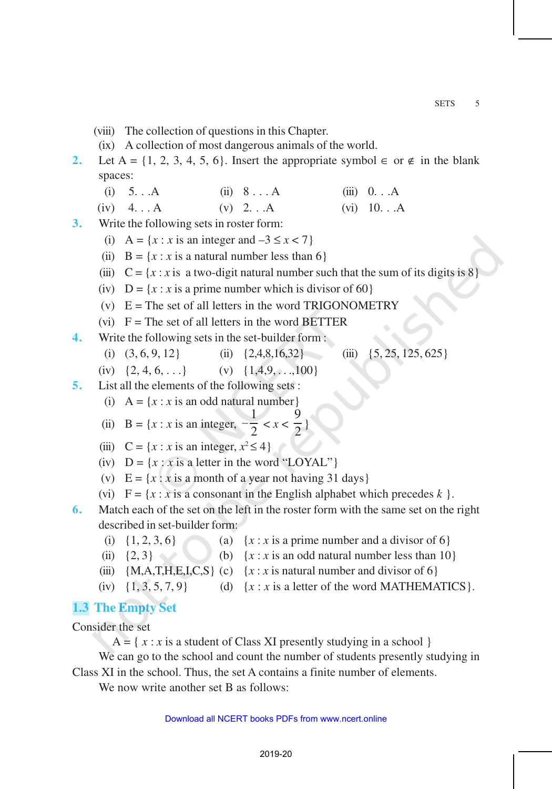- (viii) The collection of questions in this Chapter.
- (ix) A collection of most dangerous animals of the world.
- **2.** Let A = {1, 2, 3, 4, 5, 6}. Insert the appropriate symbol  $\in$  or  $\notin$  in the blank spaces:
	- (i)  $5...A$  (ii)  $8...A$  (iii)  $0...A$
	- (iv)  $4... A$  (v)  $2... A$  (vi)  $10... A$
- **3.** Write the following sets in roster form:
	- (i)  $A = \{x : x \text{ is an integer and } -3 \le x < 7\}$
	- (ii)  $B = \{x : x \text{ is a natural number less than 6}\}\$
	- (iii)  $C = \{x : x \text{ is a two-digit natural number such that the sum of its digits is 8}\}$
	- (iv)  $D = \{x : x \text{ is a prime number which is divisor of 60}\}\$
	- (v)  $E = The set of all letters in the word TRIGONOMETRY$
	- (vi)  $F =$ The set of all letters in the word BETTER
- **4.** Write the following sets in the set-builder form :
	- (i)  $(3, 6, 9, 12)$  (ii)  $\{2, 4, 8, 16, 32\}$  (iii)  $\{5, 25, 125, 625\}$
	- (iv)  $\{2, 4, 6, \ldots\}$  (v)  $\{1, 4, 9, \ldots, 100\}$
- **5.** List all the elements of the following sets :
	- (i)  $A = \{x : x \text{ is an odd natural number}\}\$
	- (ii)  $B = \{x : x \text{ is an integer, }$ 1  $-\frac{1}{2}$  < *x* <  $\frac{9}{2}$  $\frac{1}{2}$
	- (iii)  $C = \{x : x \text{ is an integer, } x^2 \le 4\}$
	- (iv)  $D = \{x : x \text{ is a letter in the word "LOYAL"}\}$
	- (v)  $E = \{x : x \text{ is a month of a year not having 31 days}\}$
	- (vi)  $F = \{x : x \text{ is a consonant in the English alphabet which precedes } k \}.$
- **6.** Match each of the set on the left in the roster form with the same set on the right described in set-builder form:
	- (i)  $\{1, 2, 3, 6\}$  (a)  $\{x : x \text{ is a prime number and a divisor of 6}\}$
	- (ii)  $\{2, 3\}$  (b)  $\{x : x \text{ is an odd natural number less than 10}\}$
	- (iii)  ${M, A, T, H, E, I, C, S}$  (c)  ${x : x$  is natural number and divisor of 6
	- (iv)  $\{1, 3, 5, 7, 9\}$  (d)  $\{x : x \text{ is a letter of the word MATHEMATICS}\}.$

# **1.3 The Empty Set**

Consider the set

 $A = \{ x : x \text{ is a student of Class XI presently studying in a school } \}$ 

We can go to the school and count the number of students presently studying in Class XI in the school. Thus, the set A contains a finite number of elements.

We now write another set B as follows: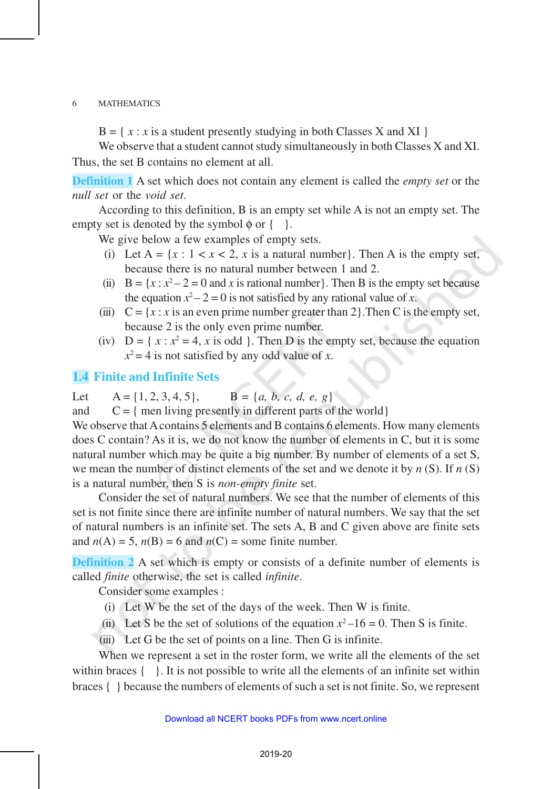$B = \{ x : x \text{ is a student presently studying in both Classes X and XI } \}$ 

We observe that a student cannot study simultaneously in both Classes X and XI. Thus, the set B contains no element at all.

**Definition 1** A set which does not contain any element is called the *empty set* or the *null set* or the *void set*.

According to this definition, B is an empty set while A is not an empty set. The empty set is denoted by the symbol  $\phi$  or  $\{-\}$ .

We give below a few examples of empty sets.

- (i) Let  $A = \{x : 1 < x < 2, x \text{ is a natural number}\}.$  Then A is the empty set, because there is no natural number between 1 and 2.
- (ii)  $B = \{x : x^2 2 = 0 \text{ and } x \text{ is rational number}\}\.$  Then B is the empty set because the equation  $x^2 - 2 = 0$  is not satisfied by any rational value of *x*.
- (iii)  $C = \{x : x \text{ is an even prime number greater than } 2\}$ . Then C is the empty set, because 2 is the only even prime number.
- (iv)  $D = \{ x : x^2 = 4, x \text{ is odd } \}.$  Then D is the empty set, because the equation  $x^2 = 4$  is not satisfied by any odd value of *x*.

## **1.4 Finite and Infinite Sets**

Let  $A = \{1, 2, 3, 4, 5\}, \qquad B = \{a, b, c, d, e, g\}$ 

and  $C = \{$  men living presently in different parts of the world $\}$ 

We observe that A contains 5 elements and B contains 6 elements. How many elements does C contain? As it is, we do not know the number of elements in C, but it is some natural number which may be quite a big number. By number of elements of a set S, we mean the number of distinct elements of the set and we denote it by *n* (S). If *n* (S) is a natural number, then S is *non-empty finite* set.

Consider the set of natural numbers. We see that the number of elements of this set is not finite since there are infinite number of natural numbers. We say that the set of natural numbers is an infinite set. The sets A, B and C given above are finite sets and  $n(A) = 5$ ,  $n(B) = 6$  and  $n(C) =$  some finite number.

**Definition 2** A set which is empty or consists of a definite number of elements is called *finite* otherwise, the set is called *infinite*.

Consider some examples :

- (i) Let W be the set of the days of the week. Then W is finite.
- (ii) Let S be the set of solutions of the equation  $x^2-16 = 0$ . Then S is finite.
- (iii) Let G be the set of points on a line. Then G is infinite.

When we represent a set in the roster form, we write all the elements of the set within braces  $\{\ \ \}$ . It is not possible to write all the elements of an infinite set within braces { } because the numbers of elements of such a set is not finite. So, we represent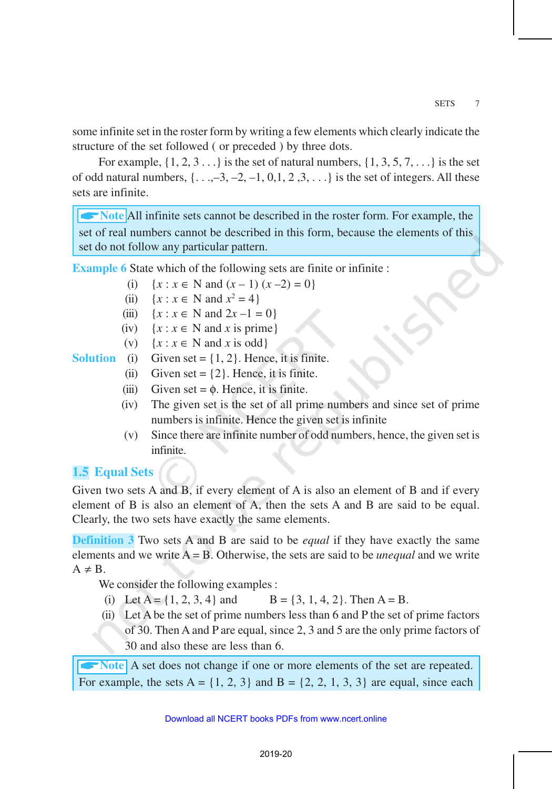some infinite set in the roster form by writing a few elements which clearly indicate the structure of the set followed ( or preceded ) by three dots.

For example,  $\{1, 2, 3, \ldots\}$  is the set of natural numbers,  $\{1, 3, 5, 7, \ldots\}$  is the set of odd natural numbers,  $\{...,3,-2,-1,0,1,2,3,...\}$  is the set of integers. All these sets are infinite.

**All infinite sets cannot be described in the roster form. For example, the** set of real numbers cannot be described in this form, because the elements of this set do not follow any particular pattern.

**Example 6** State which of the following sets are finite or infinite :

- (i) {*x* : *x* ∈ N and (*x* − 1) (*x* −2) = 0}
- (ii)  $\{x : x \in \mathbb{N} \text{ and } x^2 = 4\}$
- (iii)  $\{x : x \in \mathbb{N} \text{ and } 2x 1 = 0\}$
- (iv)  $\{x : x \in \mathbb{N} \text{ and } x \text{ is prime}\}\$
- (v)  $\{x : x \in \mathbb{N} \text{ and } x \text{ is odd}\}\$

#### **Solution** (i) Given set =  $\{1, 2\}$ . Hence, it is finite.

- (ii) Given set =  $\{2\}$ . Hence, it is finite.
- (iii) Given set =  $\phi$ . Hence, it is finite.
- (iv) The given set is the set of all prime numbers and since set of prime numbers is infinite. Hence the given set is infinite
- (v) Since there are infinite number of odd numbers, hence, the given set is infinite.

# **1.5 Equal Sets**

Given two sets A and B, if every element of A is also an element of B and if every element of B is also an element of A, then the sets A and B are said to be equal. Clearly, the two sets have exactly the same elements.

**Definition 3** Two sets A and B are said to be *equal* if they have exactly the same elements and we write A = B. Otherwise, the sets are said to be *unequal* and we write  $A \neq B$ .

We consider the following examples :

- (i) Let  $A = \{1, 2, 3, 4\}$  and  $B = \{3, 1, 4, 2\}$ . Then  $A = B$ .
- (ii) Let A be the set of prime numbers less than 6 and P the set of prime factors of 30. Then A and P are equal, since 2, 3 and 5 are the only prime factors of 30 and also these are less than 6.

**Note** A set does not change if one or more elements of the set are repeated. For example, the sets  $A = \{1, 2, 3\}$  and  $B = \{2, 2, 1, 3, 3\}$  are equal, since each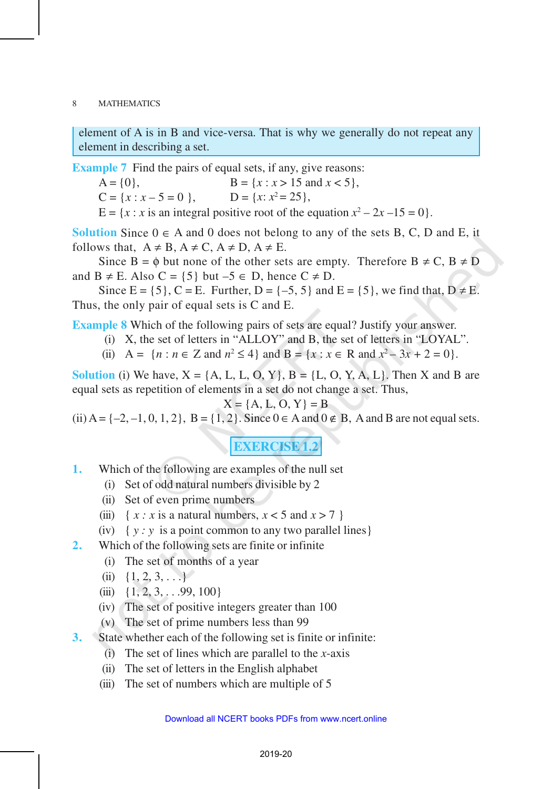element of A is in B and vice-versa. That is why we generally do not repeat any element in describing a set.

**Example 7** Find the pairs of equal sets, if any, give reasons:

 $A = \{0\},\qquad B = \{x : x > 15 \text{ and } x < 5\},\qquad$  $C = \{x : x - 5 = 0\}$ ,  $D = \{x: x^2 = 25\},\$ 

 $E = \{x : x \text{ is an integral positive root of the equation } x^2 - 2x - 15 = 0\}.$ 

**Solution** Since  $0 \in A$  and 0 does not belong to any of the sets B, C, D and E, it follows that,  $A \neq B$ ,  $A \neq C$ ,  $A \neq D$ ,  $A \neq E$ .

Since  $B = \phi$  but none of the other sets are empty. Therefore  $B \neq C$ ,  $B \neq D$ and  $B \neq E$ . Also  $C = \{5\}$  but  $-5 \in D$ , hence  $C \neq D$ .

Since  $E = \{5\}$ ,  $C = E$ . Further,  $D = \{-5, 5\}$  and  $E = \{5\}$ , we find that,  $D \neq E$ . Thus, the only pair of equal sets is C and E.

**Example 8** Which of the following pairs of sets are equal? Justify your answer.

- (i) X, the set of letters in "ALLOY" and B, the set of letters in "LOYAL".
- (ii)  $A = \{n : n \in \mathbb{Z} \text{ and } n^2 \le 4\} \text{ and } B = \{x : x \in \mathbb{R} \text{ and } x^2 3x + 2 = 0\}.$

**Solution** (i) We have,  $X = \{A, L, L, O, Y\}$ ,  $B = \{L, O, Y, A, L\}$ . Then X and B are equal sets as repetition of elements in a set do not change a set. Thus,

$$
X = \{A, L, O, Y\} = B
$$

(ii)  $A = \{-2, -1, 0, 1, 2\}$ ,  $B = \{1, 2\}$ . Since  $0 \in A$  and  $0 \notin B$ , A and B are not equal sets.

**EXERCISE 1.2**

- **1.** Which of the following are examples of the null set
	- (i) Set of odd natural numbers divisible by 2
	- (ii) Set of even prime numbers
	- (iii)  $\{ x : x \text{ is a natural numbers, } x < 5 \text{ and } x > 7 \}$
	- (iv)  $\{y : y \text{ is a point common to any two parallel lines}\}$

**2.** Which of the following sets are finite or infinite

- (i) The set of months of a year
- (ii)  $\{1, 2, 3, \ldots\}$
- (iii)  $\{1, 2, 3, \ldots 99, 100\}$
- (iv) The set of positive integers greater than 100
- (v) The set of prime numbers less than 99
- **3.** State whether each of the following set is finite or infinite:
	- $(i)$  The set of lines which are parallel to the *x*-axis
	- (ii) The set of letters in the English alphabet
	- (iii) The set of numbers which are multiple of 5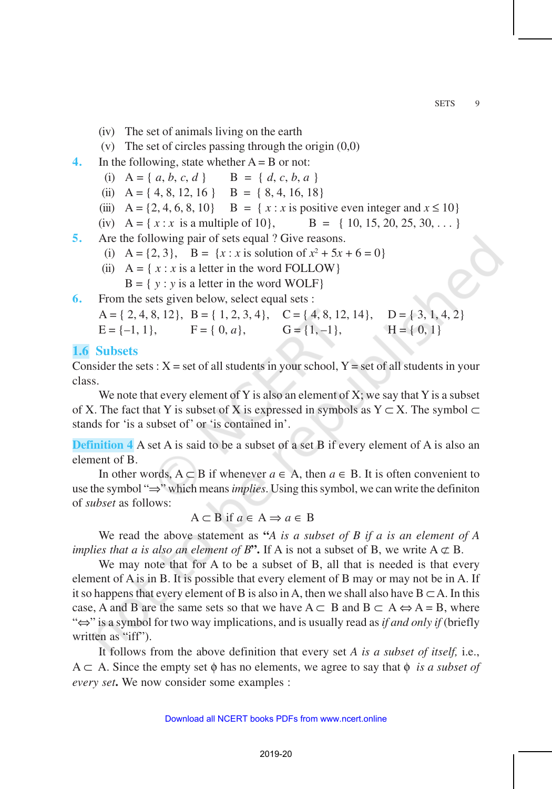- (iv) The set of animals living on the earth
- (v) The set of circles passing through the origin (0,0)
- **4.** In the following, state whether  $A = B$  or not:
	- (i)  $A = \{a, b, c, d\}$   $B = \{d, c, b, a\}$
	- (ii)  $A = \{4, 8, 12, 16\}$   $B = \{8, 4, 16, 18\}$
	- (iii)  $A = \{2, 4, 6, 8, 10\}$  B =  $\{x : x \text{ is positive even integer and } x \le 10\}$
	- (iv)  $A = \{ x : x \text{ is a multiple of } 10 \}, \qquad B = \{ 10, 15, 20, 25, 30, \dots \}$
- **5.** Are the following pair of sets equal ? Give reasons.
	- (i)  $A = \{2, 3\}$ ,  $B = \{x : x \text{ is solution of } x^2 + 5x + 6 = 0\}$
	- (ii)  $A = \{ x : x \text{ is a letter in the word FOLLOW } \}$  $B = \{ y : y \text{ is a letter in the word WOLF} \}$
- **6.** From the sets given below, select equal sets :

```
A = \{2, 4, 8, 12\}, B = \{1, 2, 3, 4\}, C = \{4, 8, 12, 14\}, D = \{3, 1, 4, 2\}E = \{-1, 1\}, \quad F = \{0, a\}, \quad G = \{1, -1\}, \quad H = \{0, 1\}
```
#### **1.6 Subsets**

Consider the sets :  $X = set$  of all students in your school,  $Y = set$  of all students in your class.

We note that every element of Y is also an element of X; we say that Y is a subset of X. The fact that Y is subset of X is expressed in symbols as  $Y \subset X$ . The symbol  $\subset$ stands for 'is a subset of' or 'is contained in'.

**Definition 4** A set A is said to be a subset of a set B if every element of A is also an element of B.

In other words,  $A ⊂ B$  if whenever  $a ∈ A$ , then  $a ∈ B$ . It is often convenient to use the symbol "⇒" which means *implies*. Using this symbol, we can write the definiton of *subset* as follows:

$$
A \subset B \text{ if } a \in A \Rightarrow a \in B
$$

We read the above statement as **"***A is a subset of B if a is an element of A implies that a is also an element of B*<sup>\*</sup>. If A is not a subset of B, we write  $A \not\subset B$ .

We may note that for A to be a subset of B, all that is needed is that every element of A is in B. It is possible that every element of B may or may not be in A. If it so happens that every element of B is also in A, then we shall also have  $B \subset A$ . In this case, A and B are the same sets so that we have  $A \subset B$  and  $B \subset A \Leftrightarrow A = B$ , where "⇔" is a symbol for two way implications, and is usually read as *if and only if* (briefly written as "iff").

It follows from the above definition that every set *A is a subset of itself,* i.e.,  $A \subset A$ . Since the empty set  $\phi$  has no elements, we agree to say that  $\phi$  *is a subset of every set***.** We now consider some examples :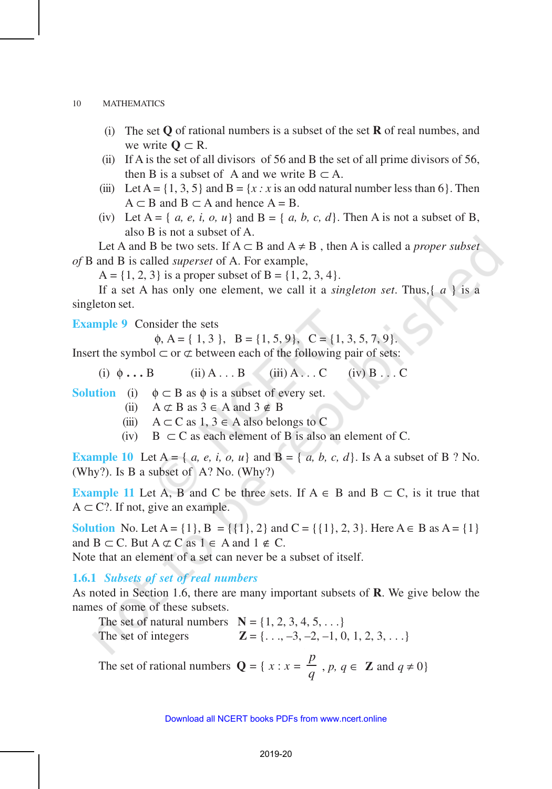- (i) The set **Q** of rational numbers is a subset of the set **R** of real numbes, and we write  $\mathbf{0} \subset \mathbf{R}$ .
- (ii) If A is the set of all divisors of 56 and B the set of all prime divisors of 56, then B is a subset of A and we write  $B \subset A$ .
- (iii) Let A =  $\{1, 3, 5\}$  and B =  $\{x : x$  is an odd natural number less than 6 $\}$ . Then  $A \subset B$  and  $B \subset A$  and hence  $A = B$ .
- (iv) Let  $A = \{a, e, i, o, u\}$  and  $B = \{a, b, c, d\}$ . Then A is not a subset of B, also B is not a subset of A.

Let A and B be two sets. If  $A \subset B$  and  $A \neq B$ , then A is called a *proper subset of* B and B is called *superset* of A. For example,

 $A = \{1, 2, 3\}$  is a proper subset of  $B = \{1, 2, 3, 4\}.$ 

If a set A has only one element, we call it a *singleton set*. Thus,{ *a* } is a singleton set.

**Example 9** Consider the sets

 $\phi$ , A = { 1, 3}, B = {1, 5, 9}, C = {1, 3, 5, 7, 9}.

Insert the symbol  $\subset$  or  $\subset \subset$  between each of the following pair of sets:

- (i)  $\phi \dots B$  (ii)  $A \dots B$  (iii)  $A \dots C$  (iv)  $B \dots C$
- **Solution** (i)  $\phi \subset B$  as  $\phi$  is a subset of every set.
	- (ii)  $A \subset B$  as  $3 \in A$  and  $3 \notin B$
	- (iii)  $A \subset C$  as  $1, 3 \in A$  also belongs to C
	- (iv) B  $\subset$  C as each element of B is also an element of C.

**Example 10** Let  $A = \{ a, e, i, o, u \}$  and  $B = \{ a, b, c, d \}$ . Is A a subset of B ? No. (Why?). Is B a subset of A? No. (Why?)

**Example 11** Let A, B and C be three sets. If  $A \in B$  and  $B \subset C$ , is it true that  $A \subset C$ ?. If not, give an example.

**Solution** No. Let  $A = \{1\}$ ,  $B = \{\{1\}, 2\}$  and  $C = \{\{1\}, 2, 3\}$ . Here  $A \in B$  as  $A = \{1\}$ and  $B \subset C$ . But  $A \not\subset C$  as  $1 \in A$  and  $1 \not\in C$ .

Note that an element of a set can never be a subset of itself.

**1.6.1** *Subsets of set of real numbers*

As noted in Section 1.6, there are many important subsets of **R**. We give below the names of some of these subsets.

The set of natural numbers  $N = \{1, 2, 3, 4, 5, ...\}$ The set of integers  $\mathbf{Z} = \{..., -3, -2, -1, 0, 1, 2, 3, ...\}$ 

The set of rational numbers  $Q = \{ x : x =$ *p*  $\frac{d}{q}$ , *p*, *q*  $\in$  **Z** and *q*  $\neq$  0}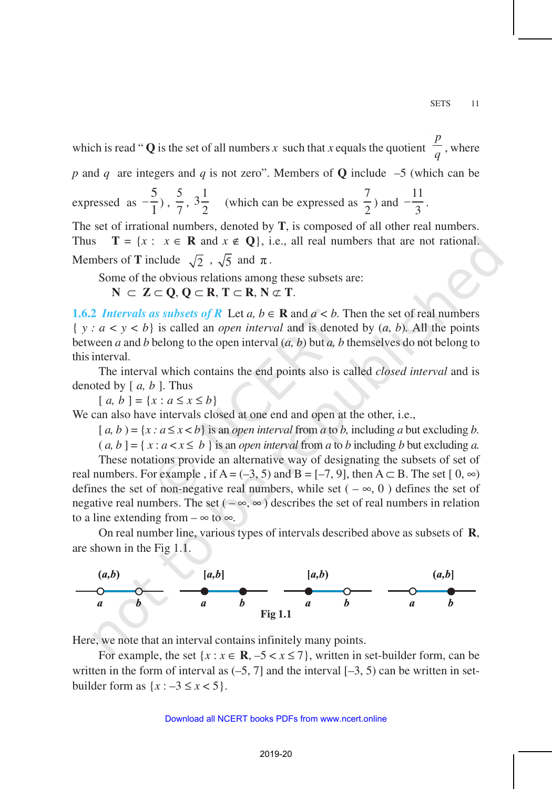which is read " $Q$  is the set of all numbers  $x$  such that  $x$  equals the quotient *p*  $\frac{1}{q}$ , where

*p* and *q* are integers and *q* is not zero". Members of **Q** include –5 (which can be

expressed as 5  $-\frac{3}{1}$ ),  $\frac{3}{7}$ 5 ,  $3\frac{1}{2}$  $\overline{2}$  (which can be expressed as 7  $\frac{1}{2}$ ) and 11  $-\frac{11}{3}$ .

The set of irrational numbers, denoted by **T**, is composed of all other real numbers. Thus  $\mathbf{T} = \{x : x \in \mathbf{R} \text{ and } x \notin \mathbf{Q}\}\)$ , i.e., all real numbers that are not rational. Members of **T** include  $\sqrt{2}$ ,  $\sqrt{5}$  and  $\pi$ .

Some of the obvious relations among these subsets are:

**N** ⊂ **Z** ⊂ **Q**, **Q** ⊂ **R**, **T** ⊂ **R**, **N** ⊄ **T**.

**1.6.2** *Intervals as subsets of R* Let *a*,  $b \in \mathbf{R}$  and  $a < b$ . Then the set of real numbers  $\{y : a < y < b\}$  is called an *open interval* and is denoted by  $(a, b)$ . All the points between *a* and *b* belong to the open interval (*a, b*) but *a, b* themselves do not belong to this interval.

The interval which contains the end points also is called *closed interval* and is denoted by [ *a, b* ]. Thus

 $[a, b] = \{x : a \le x \le b\}$ 

We can also have intervals closed at one end and open at the other, i.e.,

 $[a, b] = {x : a \le x < b}$  is an *open interval* from *a* to *b*, including *a* but excluding *b*.

 $(a, b] = \{ x : a < x \leq b \}$  is an *open interval* from *a* to *b* including *b* but excluding *a*.

These notations provide an alternative way of designating the subsets of set of real numbers. For example, if A = (–3, 5) and B = [–7, 9], then A  $\subset$  B. The set [0,  $\infty$ ) defines the set of non-negative real numbers, while set ( $-\infty$ , 0) defines the set of negative real numbers. The set ( $-\infty$ ,  $\infty$ ) describes the set of real numbers in relation to a line extending from  $-\infty$  to  $\infty$ .

On real number line, various types of intervals described above as subsets of **R**, are shown in the Fig 1.1.



Here, we note that an interval contains infinitely many points.

For example, the set  $\{x : x \in \mathbb{R}, -5 < x \le 7\}$ , written in set-builder form, can be written in the form of interval as  $(-5, 7]$  and the interval  $[-3, 5)$  can be written in setbuilder form as  $\{x : -3 \le x < 5\}.$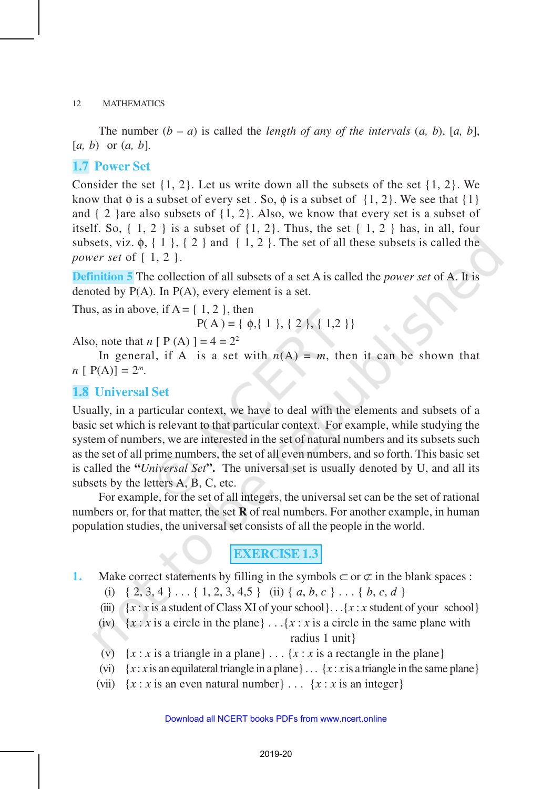The number  $(b - a)$  is called the *length of any of the intervals*  $(a, b)$ ,  $[a, b]$ , [*a, b*) or (*a, b*]*.*

#### **1.7 Power Set**

Consider the set  $\{1, 2\}$ . Let us write down all the subsets of the set  $\{1, 2\}$ . We know that  $\phi$  is a subset of every set. So,  $\phi$  is a subset of  $\{1, 2\}$ . We see that  $\{1\}$ and  $\{2\}$  are also subsets of  $\{1, 2\}$ . Also, we know that every set is a subset of itself. So,  $\{1, 2\}$  is a subset of  $\{1, 2\}$ . Thus, the set  $\{1, 2\}$  has, in all, four subsets, viz.  $\phi$ ,  $\{1\}$ ,  $\{2\}$  and  $\{1, 2\}$ . The set of all these subsets is called the *power set* of { 1, 2 }.

**Definition 5** The collection of all subsets of a set A is called the *power set* of A. It is denoted by  $P(A)$ . In  $P(A)$ , every element is a set.

Thus, as in above, if  $A = \{ 1, 2 \}$ , then

 $P(A) = \{ \phi, \{ 1 \}, \{ 2 \}, \{ 1, 2 \} \}$ 

Also, note that  $n [ P (A) ] = 4 = 2^2$ 

In general, if A is a set with  $n(A) = m$ , then it can be shown that  $n [ P(A) ] = 2^m$ .

#### **1.8 Universal Set**

Usually, in a particular context, we have to deal with the elements and subsets of a basic set which is relevant to that particular context. For example, while studying the system of numbers, we are interested in the set of natural numbers and its subsets such as the set of all prime numbers, the set of all even numbers, and so forth. This basic set is called the **"***Universal Set***".** The universal set is usually denoted by U, and all its subsets by the letters A, B, C, etc.

For example, for the set of all integers, the universal set can be the set of rational numbers or, for that matter, the set **R** of real numbers. For another example, in human population studies, the universal set consists of all the people in the world.

# **EXERCISE 1.3**

- **1.** Make correct statements by filling in the symbols  $\subset$  or  $\subset$  in the blank spaces :
	- (i)  $\{2, 3, 4\} \ldots \{1, 2, 3, 4, 5\}$  (ii)  $\{a, b, c\} \ldots \{b, c, d\}$
	- (iii)  ${x : x$  is a student of Class XI of your school}. . .{ $x : x$  student of your school}
	- (iv)  $\{x : x \text{ is a circle in the plane}\}\ldots\{x : x \text{ is a circle in the same plane with } x \text{ is a circle in the plane}\}$ radius 1 unit}
	- (v)  $\{x : x \text{ is a triangle in a plane}\}\dots \{x : x \text{ is a rectangle in the plane}\}\$
	- (vi)  $\{x : x \text{ is an equilateral triangle in a plane}\}\dots \{x : x \text{ is a triangle in the same plane}\}\$
	- (vii)  $\{x : x \text{ is an even natural number}\}\dots \{x : x \text{ is an integer}\}\$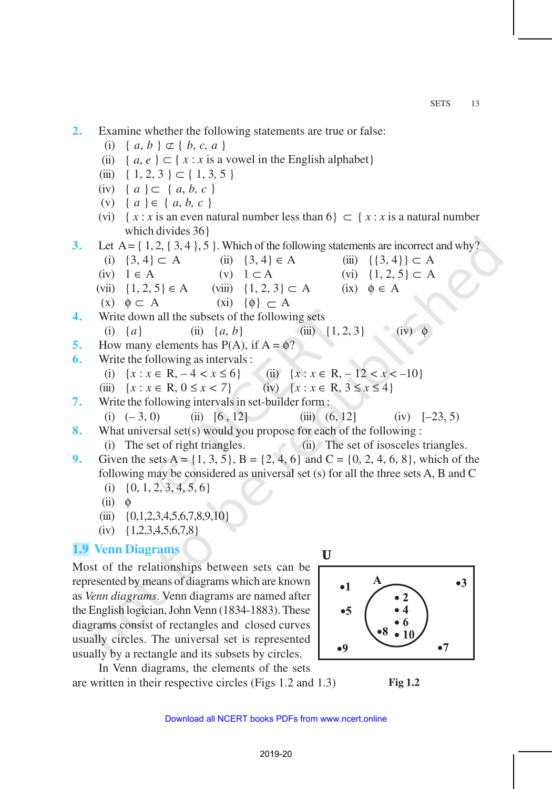**2.** Examine whether the following statements are true or false:

(i) {  $a, b$  }  $\subset$  {  $b, c, a$  }

- (ii) {  $a, e$  } ⊂ {  $x : x$  is a vowel in the English alphabet}
- $(iii)$  { 1, 2, 3 } ⊂ { 1, 3, 5 }
- (iv) { *a* } ⊂ { *a*, *b, c* }
- (v) { *a* } ∈ { *a*, *b, c* }
- (vi)  $\{x : x \text{ is an even natural number less than } 6\} \subset \{x : x \text{ is a natural number}\}$ which divides 36}

**3.** Let  $A = \{ 1, 2, \{ 3, 4 \}, 5 \}$ . Which of the following statements are incorrect and why?

- (i)  $\{3, 4\} \subset A$  (ii)  $\{3, 4\} \in A$  (iii)  $\{\{3, 4\}\} \subset A$ (iv)  $1 \in A$  (v)  $1 \subset A$  (vi)  $\{1, 2, 5\} \subset A$ (vii)  $\{1, 2, 5\} \in A$  (viii)  $\{1, 2, 3\} \subset A$  (ix)  $\phi \in A$ (x)  $\phi \subset A$  (xi)  $\{\phi\} \subset A$ **4.** Write down all the subsets of the following sets (i)  $\{a\}$  (ii)  $\{a, b\}$  (iii)  $\{1, 2, 3\}$  (iv) **5.** How many elements has  $P(A)$ , if  $A = \phi$ ? **6.** Write the following as intervals : (i)  $\{x : x \in \mathbb{R}, -4 < x \le 6\}$  (ii)  $\{x : x \in \mathbb{R}, -12 < x < -10\}$ (iii)  $\{x : x \in \mathbb{R}, 0 \le x < 7\}$  (iv)  $\{x : x \in \mathbb{R}, 3 \le x \le 4\}$ **7.** Write the following intervals in set-builder form :
- (i)  $(-3, 0)$  (ii)  $[6, 12]$  (iii)  $(6, 12]$  (iv)  $[-23, 5)$ **8.** What universal set(s) would you propose for each of the following :

(i) The set of right triangles. (ii) The set of isosceles triangles.

- **9.** Given the sets A =  $\{1, 3, 5\}$ , B =  $\{2, 4, 6\}$  and C =  $\{0, 2, 4, 6, 8\}$ , which of the following may be considered as universal set (s) for all the three sets A, B and C
	- (i)  $\{0, 1, 2, 3, 4, 5, 6\}$
	- $(ii) \quad \phi$
	- $(iii) \{0,1,2,3,4,5,6,7,8,9,10\}$
	- $(iv) \quad \{1,2,3,4,5,6,7,8\}$

#### **1.9 Venn Diagrams**

Most of the relationships between sets can be represented by means of diagrams which are known as *Venn diagrams*. Venn diagrams are named after the English logician, John Venn (1834-1883). These diagrams consist of rectangles and closed curves usually circles. The universal set is represented usually by a rectangle and its subsets by circles.

In Venn diagrams, the elements of the sets are written in their respective circles (Figs 1.2 and 1.3)

**Fig 1.2**

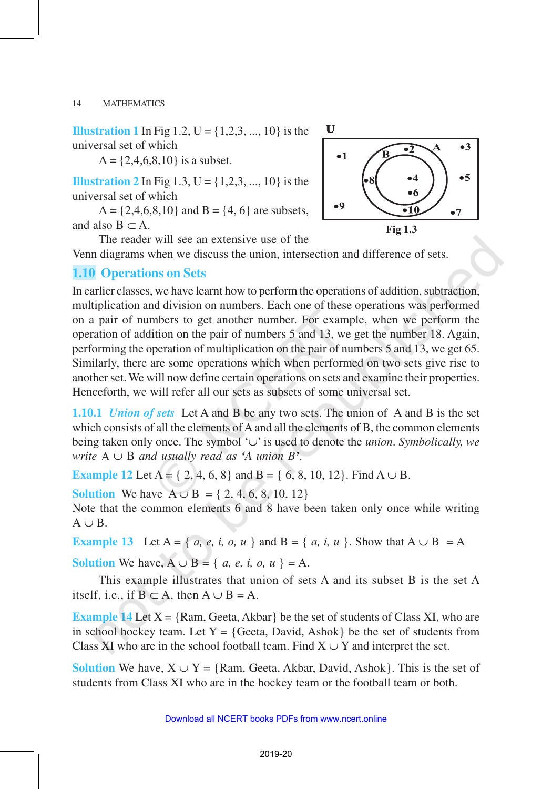**Illustration 1** In Fig 1.2,  $U = \{1,2,3, ..., 10\}$  is the universal set of which

 $A = \{2, 4, 6, 8, 10\}$  is a subset.

**Illustration 2** In Fig 1.3,  $U = \{1,2,3, ..., 10\}$  is the universal set of which

 $A = \{2, 4, 6, 8, 10\}$  and  $B = \{4, 6\}$  are subsets, and also  $B \subset A$ .

The reader will see an extensive use of the

Venn diagrams when we discuss the union, intersection and difference of sets.

#### **1.10 Operations on Sets**

In earlier classes, we have learnt how to perform the operations of addition, subtraction, multiplication and division on numbers. Each one of these operations was performed on a pair of numbers to get another number. For example, when we perform the operation of addition on the pair of numbers 5 and 13, we get the number 18. Again, performing the operation of multiplication on the pair of numbers 5 and 13, we get 65. Similarly, there are some operations which when performed on two sets give rise to another set. We will now define certain operations on sets and examine their properties. Henceforth, we will refer all our sets as subsets of some universal set.

**1.10.1** *Union of sets* Let A and B be any two sets. The union of A and B is the set which consists of all the elements of A and all the elements of B, the common elements being taken only once. The symbol '∪' is used to denote the *union*. *Symbolically, we write*  $A \cup B$  *and usually read as 'A union B'.* 

**Example 12** Let A = { 2, 4, 6, 8} and B = { 6, 8, 10, 12}. Find A  $\cup$  B.

**Solution** We have  $A ∪ B = \{2, 4, 6, 8, 10, 12\}$ 

Note that the common elements 6 and 8 have been taken only once while writing  $A \cup B$ .

**Example 13** Let A = { *a, e, i, o, u* } and B = { *a, i, u* }. Show that A ∪ B = A

**Solution** We have,  $A \cup B = \{a, e, i, o, u\} = A$ .

This example illustrates that union of sets A and its subset B is the set A itself, i.e., if  $B \subset A$ , then  $A \cup B = A$ .

**Example 14** Let  $X = \{Ram, Geeta, Akbar\}$  be the set of students of Class XI, who are in school hockey team. Let  $Y = \{ \text{Geeta}, \text{David}, \text{Ashok} \}$  be the set of students from Class XI who are in the school football team. Find  $X \cup Y$  and interpret the set.

**Solution** We have,  $X \cup Y = \{Ram, Geeta, Akbar, David, Ashok\}$ . This is the set of students from Class XI who are in the hockey team or the football team or both.



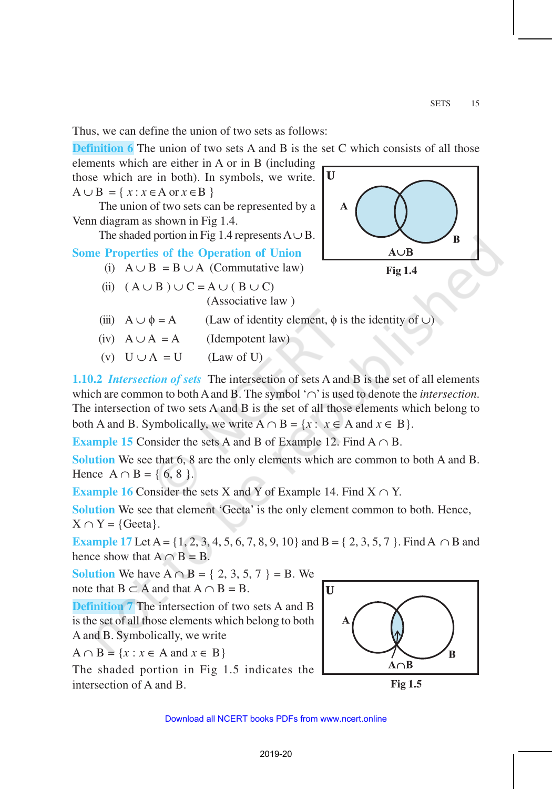Thus, we can define the union of two sets as follows:

**Definition 6** The union of two sets A and B is the set C which consists of all those

elements which are either in A or in B (including those which are in both). In symbols, we write.  $A \cup B = \{ x : x \in A \text{ or } x \in B \}$ 

The union of two sets can be represented by a Venn diagram as shown in Fig 1.4.

The shaded portion in Fig 1.4 represents  $A \cup B$ .

### **Some Properties of the Operation of Union**

- (i)  $A \cup B = B \cup A$  (Commutative law)
- (ii)  $(A \cup B) \cup C = A \cup (B \cup C)$ (Associative law )



**Fig 1.4**

- (iii)  $A \cup \phi = A$  (Law of identity element,  $\phi$  is the identity of  $\cup$ )
- (iv)  $A \cup A = A$  (Idempotent law)

(v)  $U \cup A = U$  (Law of U)

**1.10.2** *Intersection of sets* The intersection of sets A and B is the set of all elements which are common to both A and B. The symbol '∩' is used to denote the *intersection*. The intersection of two sets A and B is the set of all those elements which belong to both A and B. Symbolically, we write  $A \cap B = \{x : x \in A \text{ and } x \in B\}.$ 

**Example 15** Consider the sets A and B of Example 12. Find  $A \cap B$ .

**Solution** We see that 6, 8 are the only elements which are common to both A and B. Hence  $A \cap B = \{ 6, 8 \}$ .

**Example 16** Consider the sets X and Y of Example 14. Find  $X \cap Y$ .

**Solution** We see that element 'Geeta' is the only element common to both. Hence,  $X \cap Y = \{ \text{Geeta} \}.$ 

**Example 17** Let A = {1, 2, 3, 4, 5, 6, 7, 8, 9, 10} and B = { 2, 3, 5, 7 }. Find A ∩ B and hence show that  $A \cap B = B$ .

**Solution** We have A ∩ B = { 2, 3, 5, 7 } = B. We note that  $B \subset A$  and that  $A \cap B = B$ .

**Definition 7** The intersection of two sets A and B is the set of all those elements which belong to both A and B. Symbolically, we write

 $A \cap B = \{x : x \in A \text{ and } x \in B\}$ 

The shaded portion in Fig 1.5 indicates the intersection of A and B.



**Fig 1.5**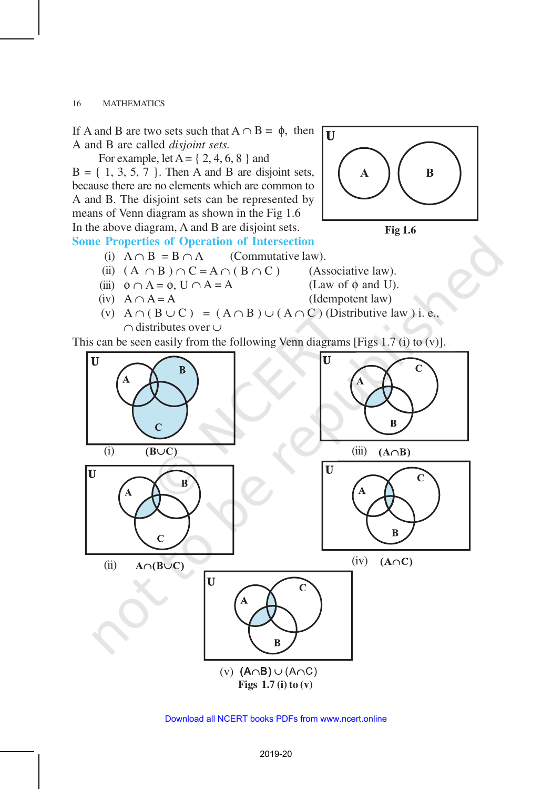If A and B are two sets such that  $A \cap B = \phi$ , then A and B are called *disjoint sets.*

For example, let  $A = \{2, 4, 6, 8\}$  and  $B = \{ 1, 3, 5, 7 \}$ . Then A and B are disjoint sets, because there are no elements which are common to A and B. The disjoint sets can be represented by means of Venn diagram as shown in the Fig 1.6 In the above diagram, A and B are disjoint sets.





## **Some Properties of Operation of Intersection**

(i)  $A \cap B = B \cap A$  (Commutative law).

(ii) 
$$
(A \cap B) \cap C = A \cap (B \cap C)
$$

(iii) 
$$
\phi \cap A = \phi
$$
,  $U \cap A = A$ 

 $(A$  ssociative law). (Law of  $\phi$  and U).

- 
- (iv)  $A \cap A = A$  (Idempotent law)
- (v)  $A \cap (B \cup C) = (A \cap B) \cup (A \cap C)$  (Distributive law) i. e., ∩ distributes over ∪

This can be seen easily from the following Venn diagrams [Figs 1.7 (i) to (v)].



Download all NCERT books PDFs from [www.ncert.online](http://www.ncert.online)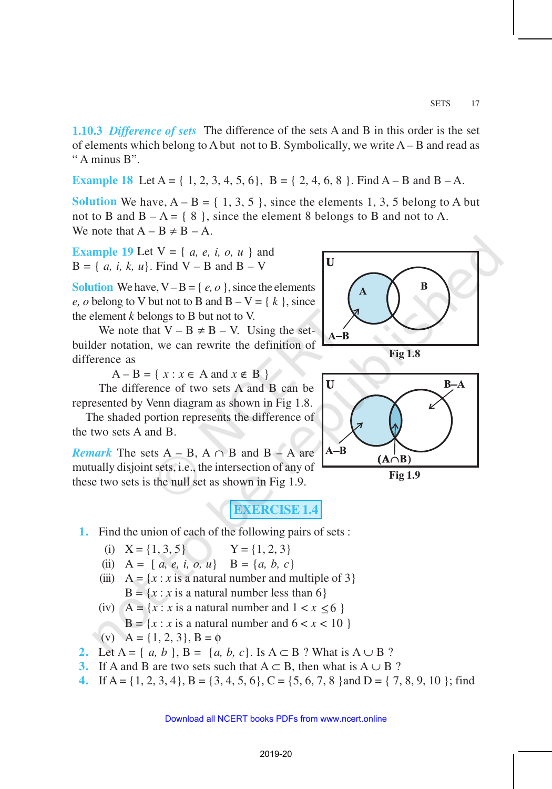**1.10.3** *Difference of sets* The difference of the sets A and B in this order is the set of elements which belong to A but not to B. Symbolically, we write A – B and read as " A minus B".

**Example 18** Let  $A = \{ 1, 2, 3, 4, 5, 6 \}$ ,  $B = \{ 2, 4, 6, 8 \}$ . Find  $A - B$  and  $B - A$ .

**Solution** We have,  $A - B = \{1, 3, 5\}$ , since the elements 1, 3, 5 belong to A but not to B and  $B - A = \{ 8 \}$ , since the element 8 belongs to B and not to A. We note that  $A - B \neq B - A$ .

**Example 19** Let V = { *a, e, i, o, u* } and  $B = \{ \{a, i, k, u\}. \text{ Find } V - B \text{ and } B - V \}$ 

**Solution** We have,  $V - B = \{e, o\}$ , since the elements *e*, *o* belong to V but not to B and  $B - V = \{k\}$ , since the element *k* belongs to B but not to V.

We note that  $V - B \neq B - V$ . Using the setbuilder notation, we can rewrite the definition of difference as

 $A - B = \{ x : x \in A \text{ and } x \notin B \}$ 

The difference of two sets A and B can be represented by Venn diagram as shown in Fig 1.8.

The shaded portion represents the difference of the two sets A and B.

*Remark* The sets  $A - B$ ,  $A \cap B$  and  $B - A$  are mutually disjoint sets, i.e., the intersection of any of these two sets is the null set as shown in Fig 1.9.

**EXERCISE 1.4**

**1.** Find the union of each of the following pairs of sets :

(i) 
$$
X = \{1, 3, 5\}
$$
  $Y = \{1, 2, 3\}$ 

(ii) 
$$
A = [a, e, i, o, u]
$$
  $B = \{a, b, c\}$ 

- (iii)  $A = \{x : x \text{ is a natural number and multiple of } 3\}$  $B = \{x : x \text{ is a natural number less than 6}\}\$
- (iv)  $A = \{x : x \text{ is a natural number and } 1 < x < 6 \}$  $B = \{x : x \text{ is a natural number and } 6 < x < 10 \}$ (v)  $A = \{1, 2, 3\}, B = \phi$
- **2.** Let  $A = \{a, b\}$ ,  $B = \{a, b, c\}$ . Is  $A \subset B$  ? What is  $A \cup B$  ?
- **3.** If A and B are two sets such that  $A \subset B$ , then what is  $A \cup B$ ?
- **4.** If A = {1, 2, 3, 4}, B = {3, 4, 5, 6}, C = {5, 6, 7, 8} and D = {7, 8, 9, 10}; find



**Fig 1.8**



**Fig 1.9**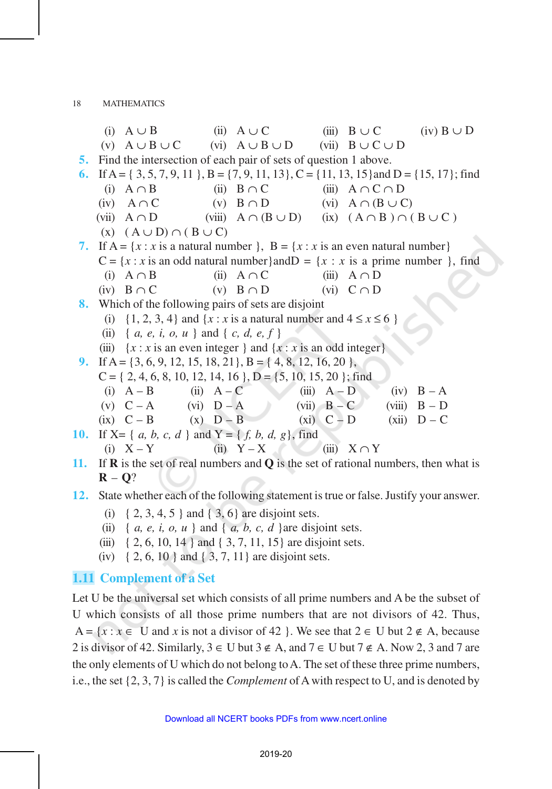|                                                                                                         | (i) $A \cup B$                                                  |  | (ii) $A \cup C$                                                                                                                                                                                                                                                                                                                        |                 |                  | (iii) $B \cup C$ (iv) $B \cup D$ |  |
|---------------------------------------------------------------------------------------------------------|-----------------------------------------------------------------|--|----------------------------------------------------------------------------------------------------------------------------------------------------------------------------------------------------------------------------------------------------------------------------------------------------------------------------------------|-----------------|------------------|----------------------------------|--|
|                                                                                                         |                                                                 |  | (v) $A \cup B \cup C$ (vi) $A \cup B \cup D$ (vii) $B \cup C \cup D$                                                                                                                                                                                                                                                                   |                 |                  |                                  |  |
| 5. Find the intersection of each pair of sets of question 1 above.                                      |                                                                 |  |                                                                                                                                                                                                                                                                                                                                        |                 |                  |                                  |  |
| 6. If A = { 3, 5, 7, 9, 11 }, B = {7, 9, 11, 13}, C = {11, 13, 15} and D = {15, 17}; find               |                                                                 |  |                                                                                                                                                                                                                                                                                                                                        |                 |                  |                                  |  |
|                                                                                                         |                                                                 |  | (i) $A \cap B$ (ii) $B \cap C$ (iii) $A \cap C \cap D$                                                                                                                                                                                                                                                                                 |                 |                  |                                  |  |
|                                                                                                         |                                                                 |  | (iv) $A \cap C$ (v) $B \cap D$ (vi) $A \cap (B \cup C)$                                                                                                                                                                                                                                                                                |                 |                  |                                  |  |
|                                                                                                         |                                                                 |  | (vii) $A \cap D$ (viii) $A \cap (B \cup D)$ (ix) $(A \cap B) \cap (B \cup C)$                                                                                                                                                                                                                                                          |                 |                  |                                  |  |
| $(X)$ $(A \cup D) \cap (B \cup C)$                                                                      |                                                                 |  |                                                                                                                                                                                                                                                                                                                                        |                 |                  |                                  |  |
| 7. If A = {x : x is a natural number }, B = {x : x is an even natural number}                           |                                                                 |  |                                                                                                                                                                                                                                                                                                                                        |                 |                  |                                  |  |
| $C = \{x : x \text{ is an odd natural number}\}\$ and $D = \{x : x \text{ is a prime number}\}\$ , find |                                                                 |  |                                                                                                                                                                                                                                                                                                                                        |                 |                  |                                  |  |
|                                                                                                         | (i) $A \cap B$                                                  |  | (ii) $A \cap C$                                                                                                                                                                                                                                                                                                                        |                 | (iii) $A \cap D$ |                                  |  |
|                                                                                                         | $(iv)$ $B \cap C$                                               |  | (v) $B \cap D$ (vi) $C \cap D$                                                                                                                                                                                                                                                                                                         |                 |                  |                                  |  |
| 8. Which of the following pairs of sets are disjoint                                                    |                                                                 |  |                                                                                                                                                                                                                                                                                                                                        |                 |                  |                                  |  |
| (i) $\{1, 2, 3, 4\}$ and $\{x : x \text{ is a natural number and } 4 \leq x \leq 6 \}$                  |                                                                 |  |                                                                                                                                                                                                                                                                                                                                        |                 |                  |                                  |  |
| (ii) { $a, e, i, o, u$ } and { $c, d, e, f$ }                                                           |                                                                 |  |                                                                                                                                                                                                                                                                                                                                        |                 |                  |                                  |  |
| (iii) $\{x : x \text{ is an even integer }\}$ and $\{x : x \text{ is an odd integer}\}$                 |                                                                 |  |                                                                                                                                                                                                                                                                                                                                        |                 |                  |                                  |  |
| 9. If A = {3, 6, 9, 12, 15, 18, 21}, B = {4, 8, 12, 16, 20},                                            |                                                                 |  |                                                                                                                                                                                                                                                                                                                                        |                 |                  |                                  |  |
| $C = \{2, 4, 6, 8, 10, 12, 14, 16\}$ , $D = \{5, 10, 15, 20\}$ ; find                                   |                                                                 |  |                                                                                                                                                                                                                                                                                                                                        |                 |                  |                                  |  |
|                                                                                                         | (i) $A - B$ (ii) $A - C$                                        |  |                                                                                                                                                                                                                                                                                                                                        | $(iii)$ $A - D$ |                  | $(iv)$ $B - A$                   |  |
|                                                                                                         | (v) $C - A$ (vi) $D - A$                                        |  |                                                                                                                                                                                                                                                                                                                                        | $(vii)$ $B - C$ |                  | (viii) $B - D$                   |  |
|                                                                                                         | $(ix)$ $C - B$ $(x)$ $D - B$                                    |  |                                                                                                                                                                                                                                                                                                                                        | $(xi)$ $C - D$  |                  | $(xii)$ $D - C$                  |  |
| <b>10.</b> If X= { a, b, c, d } and Y = { f, b, d, g}, find                                             |                                                                 |  |                                                                                                                                                                                                                                                                                                                                        |                 |                  |                                  |  |
|                                                                                                         | $(i)$ $X - Y$                                                   |  | (ii) $Y-X$                                                                                                                                                                                                                                                                                                                             | (iii)           | $X \cap Y$       |                                  |  |
| TCT                                                                                                     | $\mathbf{d}$ and $\mathbf{c}$ and $\mathbf{d}$ and $\mathbf{d}$ |  | $\mathbf{1} \cap \mathbf{1}$ $\mathbf{1}$ $\mathbf{1}$ $\mathbf{1}$ $\mathbf{1}$ $\mathbf{1}$ $\mathbf{1}$ $\mathbf{1}$ $\mathbf{1}$ $\mathbf{1}$ $\mathbf{1}$ $\mathbf{1}$ $\mathbf{1}$ $\mathbf{1}$ $\mathbf{1}$ $\mathbf{1}$ $\mathbf{1}$ $\mathbf{1}$ $\mathbf{1}$ $\mathbf{1}$ $\mathbf{1}$ $\mathbf{1}$ $\mathbf{1}$ $\mathbf{1$ |                 |                  |                                  |  |

**11.** If **R** is the set of real numbers and **Q** is the set of rational numbers, then what is **R** – **Q**?

#### **12.** State whether each of the following statement is true or false. Justify your answer.

- (i)  $\{2, 3, 4, 5\}$  and  $\{3, 6\}$  are disjoint sets.
- (ii) {  $a, e, i, o, u$  } and {  $a, b, c, d$  } are disjoint sets.
- (iii)  $\{2, 6, 10, 14\}$  and  $\{3, 7, 11, 15\}$  are disjoint sets.
- (iv)  $\{2, 6, 10\}$  and  $\{3, 7, 11\}$  are disjoint sets.

# **1.11 Complement of a Set**

Let U be the universal set which consists of all prime numbers and A be the subset of U which consists of all those prime numbers that are not divisors of 42. Thus, A =  $\{x : x \in U \text{ and } x \text{ is not a divisor of 42 } \}$ . We see that  $2 \in U$  but  $2 \notin A$ , because 2 is divisor of 42. Similarly,  $3 \in U$  but  $3 \notin A$ , and  $7 \in U$  but  $7 \notin A$ . Now 2, 3 and 7 are the only elements of U which do not belong to A. The set of these three prime numbers, i.e., the set {2, 3, 7} is called the *Complement* of A with respect to U, and is denoted by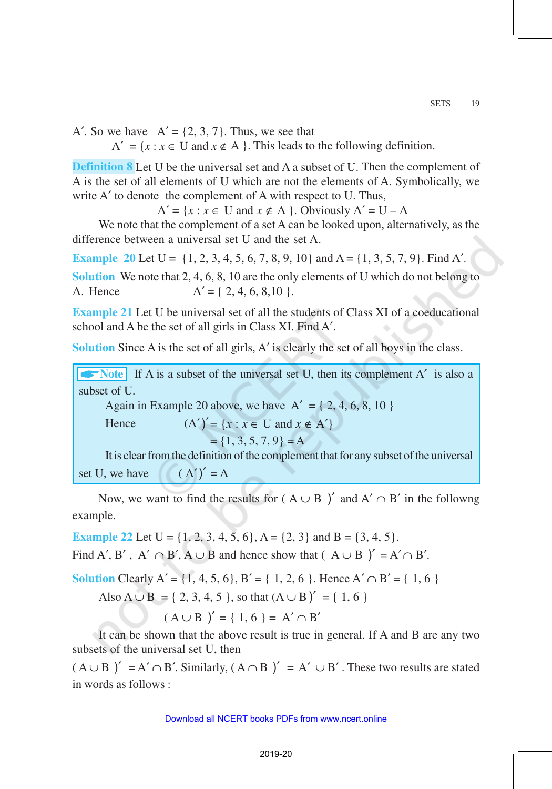A'. So we have  $A' = \{2, 3, 7\}$ . Thus, we see that

 $A' = \{x : x \in U \text{ and } x \notin A \}.$  This leads to the following definition.

**Definition 8** Let U be the universal set and A a subset of U. Then the complement of A is the set of all elements of U which are not the elements of A. Symbolically, we write A' to denote the complement of A with respect to U. Thus,

 $A' = \{x : x \in U \text{ and } x \notin A \}$ . Obviously  $A' = U - A$ 

We note that the complement of a set A can be looked upon, alternatively, as the difference between a universal set U and the set A.

**Example 20** Let  $U = \{1, 2, 3, 4, 5, 6, 7, 8, 9, 10\}$  and  $A = \{1, 3, 5, 7, 9\}$ . Find A'.

**Solution** We note that 2, 4, 6, 8, 10 are the only elements of U which do not belong to A. Hence  $A' = \{2, 4, 6, 8, 10\}$ .

**Example 21** Let U be universal set of all the students of Class XI of a coeducational school and A be the set of all girls in Class XI. Find A′.

**Solution** Since A is the set of all girls, A' is clearly the set of all boys in the class.

**ANOTE** If A is a subset of the universal set U, then its complement A<sup>'</sup> is also a subset of U.

Again in Example 20 above, we have  $A' = \{2, 4, 6, 8, 10\}$ 

Hence  $(A')' = \{x : x \in U \text{ and } x \notin A'\}$ 

 $= \{1, 3, 5, 7, 9\} = A$ 

It is clear from the definition of the complement that for any subset of the universal set U, we have  $(A')' = A$ 

Now, we want to find the results for ( $A \cup B$ )' and  $A' \cap B'$  in the followng example.

**Example 22** Let  $U = \{1, 2, 3, 4, 5, 6\}$ ,  $A = \{2, 3\}$  and  $B = \{3, 4, 5\}$ .

Find A', B', A'  $\cap$  B', A  $\cup$  B and hence show that (A  $\cup$  B)' = A' $\cap$  B'.

**Solution** Clearly A' =  $\{1, 4, 5, 6\}$ , B' =  $\{1, 2, 6\}$ . Hence A'  $\cap$  B' =  $\{1, 6\}$ 

Also 
$$
A \cup B = \{ 2, 3, 4, 5 \}
$$
, so that  $(A \cup B)' = \{ 1, 6 \}$ 

 $(A \cup B)' = \{ 1, 6 \} = A' \cap B'$ 

It can be shown that the above result is true in general. If A and B are any two subsets of the universal set U, then

 $(A \cup B)' = A' \cap B'$ . Similarly,  $(A \cap B)' = A' \cup B'$ . These two results are stated in words as follows :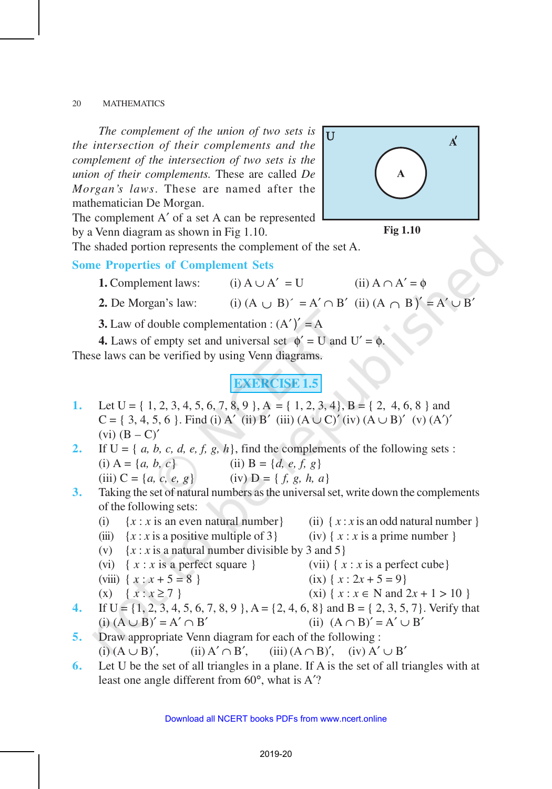*The complement of the union of two sets is the intersection of their complements and the complement of the intersection of two sets is the union of their complements.* These are called *De Morgan's laws*. These are named after the mathematician De Morgan.

lu.  $\overline{A}'$  $\mathbf A$ 

The complement A′ of a set A can be represented by a Venn diagram as shown in Fig 1.10.

The shaded portion represents the complement of the set A.

#### **Some Properties of Complement Sets**

- **1.** Complement laws: (i)  $A \cup A' = U$  (ii)  $A \cap A' = \emptyset$
- **2.** De Morgan's law: (i)  $(A \cup B)' = A' \cap B'$  (ii)  $(A \cap B)' = A' \cup B'$
- **3.** Law of double complementation :  $(A')' = A$

**4.** Laws of empty set and universal set  $\phi' = U$  and  $U' = \phi$ . These laws can be verified by using Venn diagrams.

# **EXERCISE 1.5**

- **1.** Let  $U = \{ 1, 2, 3, 4, 5, 6, 7, 8, 9 \}$ ,  $A = \{ 1, 2, 3, 4 \}$ ,  $B = \{ 2, 4, 6, 8 \}$  and  $C = \{3, 4, 5, 6\}$ . Find (i) A' (ii) B' (iii) (A  $\cup$  C)' (iv) (A  $\cup$  B)' (v) (A')'  $(vi)$   $(B - C)'$
- **2.** If  $U = \{a, b, c, d, e, f, g, h\}$ , find the complements of the following sets : (i)  $A = \{a, b, c\}$  (ii)  $B = \{d, e, f, g\}$ (iii)  $C = \{a, c, e, g\}$  (iv)  $D = \{f, g, h, a\}$
- **3.** Taking the set of natural numbers as the universal set, write down the complements of the following sets:
	- (i)  $\{x : x \text{ is an even natural number}\}\$  (ii)  $\{x : x \text{ is an odd natural number}\}\$
	- (iii)  $\{x : x \text{ is a positive multiple of } 3\}$  (iv)  $\{x : x \text{ is a prime number } \}$
	- (v)  $\{x : x \text{ is a natural number divisible by 3 and 5}\}\$
	- (vi)  $\{ x : x \text{ is a perfect square } \}$  (vii)  $\{ x : x \text{ is a perfect cube } \}$
	- (viii)  $\{ x : x + 5 = 8 \}$  (ix)  $\{ x : 2x + 5 = 9 \}$
	- (x) { $x : x \ge 7$ } (xi) { $x : x \in N$  and  $2x + 1 > 10$  }
- **4.** If  $U = \{1, 2, 3, 4, 5, 6, 7, 8, 9\}$ ,  $A = \{2, 4, 6, 8\}$  and  $B = \{2, 3, 5, 7\}$ . Verify that (i)  $(A \cup B)' = A' \cap B'$  (ii)  $(A \cap B)' = A' \cup B'$
- **5.** Draw appropriate Venn diagram for each of the following : (i)  $(A \cup B)'$ , (ii)  $A' \cap B'$ , (iii)  $(A \cap B)'$ , (iv)  $A' \cup B'$
- **6.** Let U be the set of all triangles in a plane. If A is the set of all triangles with at least one angle different from 60°, what is A′?



- 
- 
- -
	-
	-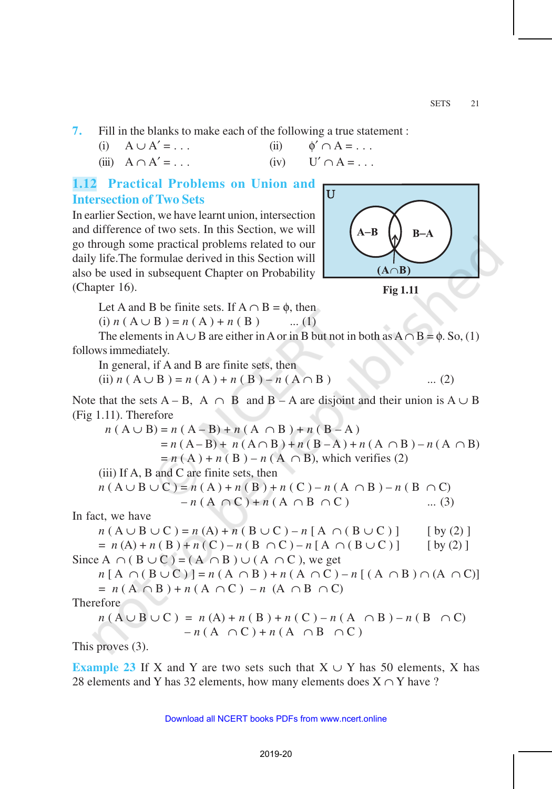**7.** Fill in the blanks to make each of the following a true statement :

(i) 
$$
A \cup A' = \dots
$$
 (ii)  $\phi' \cap A = \dots$ 

(iii)  $A \cap A' = \dots$  (iv)  $U' \cap A = \dots$ 

# **1.12 Practical Problems on Union and Intersection of Two Sets**

In earlier Section, we have learnt union, intersection and difference of two sets. In this Section, we will go through some practical problems related to our daily life.The formulae derived in this Section will also be used in subsequent Chapter on Probability (Chapter 16).



**Fig 1.11**

Let A and B be finite sets. If  $A \cap B = \emptyset$ , then

 $(i) n (A \cup B) = n (A) + n (B)$  ... (1)

The elements in  $A \cup B$  are either in A or in B but not in both as  $A \cap B = \emptyset$ . So, (1) follows immediately.

In general, if A and B are finite sets, then

(ii)  $n(A \cup B) = n(A) + n(B) - n(A \cap B)$  ... (2)

Note that the sets  $A - B$ ,  $A \cap B$  and  $B - A$  are disjoint and their union is  $A \cup B$ (Fig 1.11). Therefore

$$
n(A \cup B) = n(A - B) + n(A \cap B) + n(B - A)
$$
  
= n(A - B) + n(A ∩ B) + n(B - A) + n(A ∩ B) - n(A ∩ B)  
= n(A) + n(B) - n(A ∩ B), which verifies (2)  
(iii) If A, B and C are finite sets, then  

$$
n(A \cup B \cup C) = n(A) + n(B) + n(C) - n(A ∩ B) - n(B ∩ C)
$$
  
- n(A ∩ C) + n(A ∩ B ∩ C) ... (3)  
In fact, we have  

$$
n(A \cup B \cup C) = n(A) + n(B \cup C) - n[A ∩ (B \cup C)]
$$
[by (2)]  
= n(A) + n(B) + n(C) - n(B ∩ C) - n[A ∩ (B ∪ C)] [by (2)]  
Since A ∩ (B ∪ C) = (A ∩ B) ∪ (A ∩ C), we get  

$$
n[A ∩ (B ∪ C)] = n(A ∩ B) + n(A ∩ C) - n[(A ∩ B) ∩ (A ∩ C)]
$$

$$
n [A + (B \cup C)] = n (A + B) + n (A + C) - n [(A + B)] + n (A + C)
$$
  
=  $n (A \cap B) + n (A \cap C) - n (A \cap B \cap C)$ 

Therefore

$$
n(A \cup B \cup C) = n(A) + n(B) + n(C) - n(A \cap B) - n(B \cap C) - n(A \cap C) + n(A \cap B \cap C)
$$

This proves (3).

**Example 23** If X and Y are two sets such that  $X \cup Y$  has 50 elements, X has 28 elements and Y has 32 elements, how many elements does  $X \cap Y$  have ?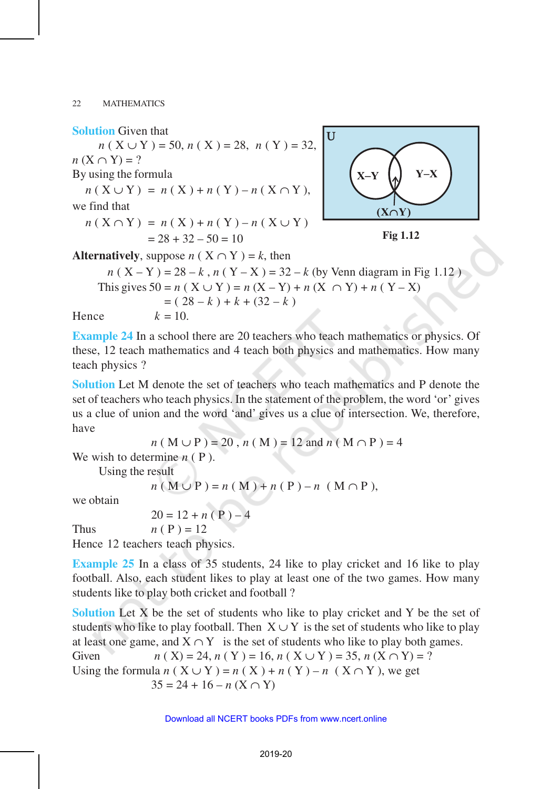#### **Solution** Given that

 $n ( X ∪ Y ) = 50, n ( X ) = 28, n ( Y ) = 32,$  $n(X \cap Y) = ?$ 

By using the formula

$$
n(X \cup Y) = n(X) + n(Y) - n(X \cap Y),
$$

we find that

$$
n (X \cap Y) = n (X) + n (Y) - n (X \cup Y)
$$
  
= 28 + 32 - 50 = 10



**Fig 1.12**

**Alternatively**, suppose  $n$  (  $X \cap Y$  ) = k, then

$$
n (X - Y) = 28 - k, n (Y - X) = 32 - k
$$
 (by Venn diagram in Fig 1.12)  
This gives  $50 = n (X \cup Y) = n (X - Y) + n (X \cap Y) + n (Y - X)$   
=  $(28 - k) + k + (32 - k)$   
Hence  $k = 10$ .

**Example 24** In a school there are 20 teachers who teach mathematics or physics. Of these, 12 teach mathematics and 4 teach both physics and mathematics. How many teach physics ?

**Solution** Let M denote the set of teachers who teach mathematics and P denote the set of teachers who teach physics. In the statement of the problem, the word 'or' gives us a clue of union and the word 'and' gives us a clue of intersection. We, therefore, have

$$
n(M \cup P) = 20
$$
,  $n(M) = 12$  and  $n(M \cap P) = 4$ 

We wish to determine *n* ( P ).

Using the result

$$
n ( M \cup P ) = n ( M ) + n ( P ) - n ( M \cap P ),
$$

we obtain

 $20 = 12 + n (P) - 4$ 

Thus  $n ( P ) = 12$ 

Hence 12 teachers teach physics.

**Example 25** In a class of 35 students, 24 like to play cricket and 16 like to play football. Also, each student likes to play at least one of the two games. How many students like to play both cricket and football ?

**Solution** Let X be the set of students who like to play cricket and Y be the set of students who like to play football. Then  $X \cup Y$  is the set of students who like to play at least one game, and  $X \cap Y$  is the set of students who like to play both games. Given  $n (Y) = 24, n (Y) = 16, n (Y + Y) = 35, n (Y \cap Y) = ?$ 

Using the formula 
$$
n(X \cup Y) = n(X) + n(Y) - n(X \cap Y)
$$
, we get  
\n
$$
35 = 24 + 16 - n(X \cap Y)
$$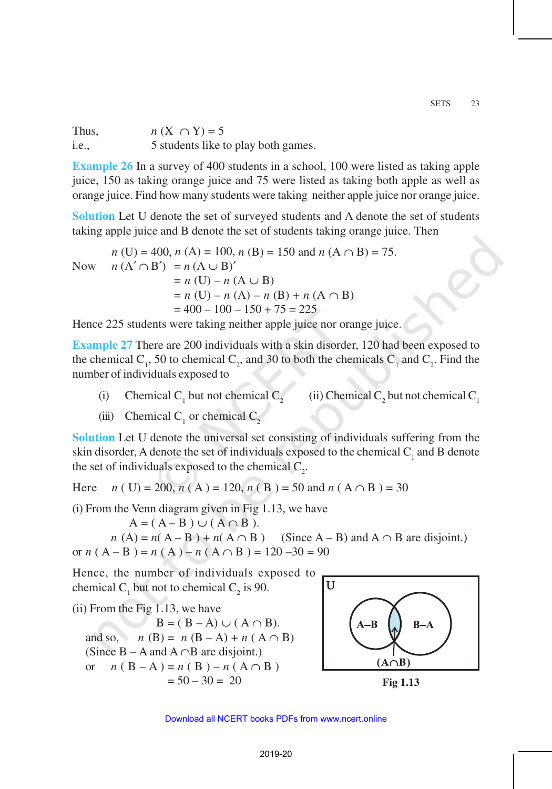Thus,  $n(X \cap Y) = 5$ i.e., 5 students like to play both games.

**Example 26** In a survey of 400 students in a school, 100 were listed as taking apple juice, 150 as taking orange juice and 75 were listed as taking both apple as well as orange juice. Find how many students were taking neither apple juice nor orange juice.

**Solution** Let U denote the set of surveyed students and A denote the set of students taking apple juice and B denote the set of students taking orange juice. Then

*n* (U) = 400, *n* (A) = 100, *n* (B) = 150 and *n* (A ∩ B) = 75. Now  $n(A' \cap B') = n(A \cup B)'$  $= n$  (U) – *n* (A  $\cup$  B)  $= n$  (U) – *n* (A) – *n* (B) + *n* (A  $\cap$  B)  $= 400 - 100 - 150 + 75 = 225$ 

Hence 225 students were taking neither apple juice nor orange juice.

**Example 27** There are 200 individuals with a skin disorder, 120 had been exposed to the chemical C<sub>1</sub>, 50 to chemical C<sub>2</sub>, and 30 to both the chemicals C<sub>1</sub> and C<sub>2</sub>. Find the number of individuals exposed to

- (i) Chemical C<sub>1</sub> but not chemical C<sub>2</sub> (ii) Chemical C<sub>2</sub> but not chemical C<sub>1</sub>
- (iii) Chemical  $C_1$  or chemical  $C_2$

**Solution** Let U denote the universal set consisting of individuals suffering from the skin disorder, A denote the set of individuals exposed to the chemical  $C_1$  and B denote the set of individuals exposed to the chemical  $C_2$ .

Here *n* ( U) = 200, *n* ( A ) = 120, *n* ( B ) = 50 and *n* ( A  $\cap$  B ) = 30

(i) From the Venn diagram given in Fig 1.13, we have

 $A = (A - B) \cup (A \cap B)$ .

 $n(A) = n(A - B) + n(A \cap B)$  (Since A – B) and A  $\cap$  B are disjoint.) or  $n(A - B) = n(A) - n(A \cap B) = 120 - 30 = 90$ 

Hence, the number of individuals exposed to chemical  $C_1$  but not to chemical  $C_2$  is 90.

(ii) From the Fig 1.13, we have

 $B = (B - A) \cup (A \cap B).$ and so, *n* (B) = *n* (B – A) + *n* (A  $\cap$  B) (Since B – A and A ∩B are disjoint.) or  $n (B - A) = n (B) - n (A \cap B)$  $= 50 - 30 = 20$  Fig 1.13

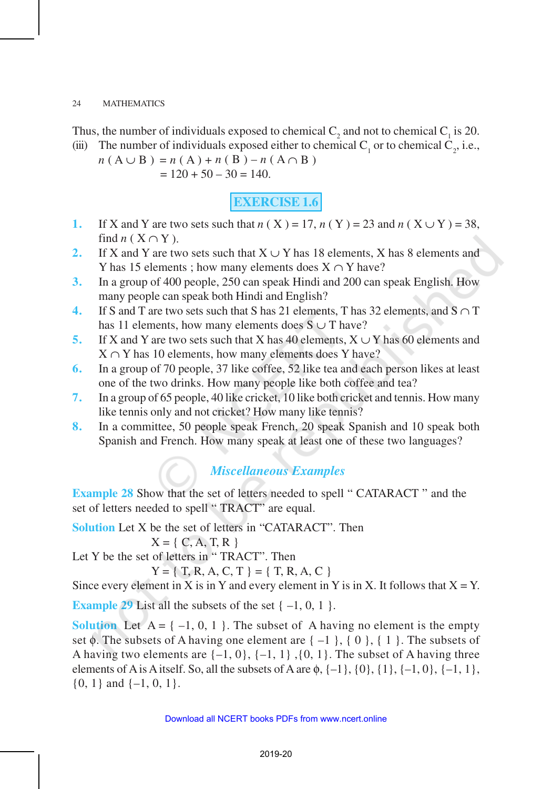Thus, the number of individuals exposed to chemical  $C_2$  and not to chemical  $C_1$  is 20. (iii) The number of individuals exposed either to chemical  $C_1$  or to chemical  $C_2$ , i.e.,

$$
n (A \cup B) = n (A) + n (B) - n (A \cap B)
$$
  
= 120 + 50 - 30 = 140.

**EXERCISE 1.6**

- **1.** If X and Y are two sets such that  $n(X) = 17$ ,  $n(Y) = 23$  and  $n(X \cup Y) = 38$ , find  $n$  (  $X \cap Y$  ).
- **2.** If X and Y are two sets such that X ∪ Y has 18 elements, X has 8 elements and Y has 15 elements ; how many elements does  $X \cap Y$  have?
- **3.** In a group of 400 people, 250 can speak Hindi and 200 can speak English. How many people can speak both Hindi and English?
- **4.** If S and T are two sets such that S has 21 elements, T has 32 elements, and S ∩ T has 11 elements, how many elements does  $S \cup T$  have?
- **5.** If X and Y are two sets such that X has 40 elements, X ∪ Y has 60 elements and  $X \cap Y$  has 10 elements, how many elements does Y have?
- **6.** In a group of 70 people, 37 like coffee, 52 like tea and each person likes at least one of the two drinks. How many people like both coffee and tea?
- **7.** In a group of 65 people, 40 like cricket, 10 like both cricket and tennis. How many like tennis only and not cricket? How many like tennis?
- **8.** In a committee, 50 people speak French, 20 speak Spanish and 10 speak both Spanish and French. How many speak at least one of these two languages?

### *Miscellaneous Examples*

**Example 28** Show that the set of letters needed to spell " CATARACT " and the set of letters needed to spell " TRACT" are equal.

**Solution** Let X be the set of letters in "CATARACT". Then

$$
X = \{ C, A, T, R \}
$$

Let Y be the set of letters in "TRACT". Then

 $Y = \{ T, R, A, C, T \} = \{ T, R, A, C \}$ 

Since every element in X is in Y and every element in Y is in X. It follows that  $X = Y$ .

**Example 29** List all the subsets of the set  $\{-1, 0, 1\}$ .

**Solution** Let  $A = \{-1, 0, 1\}$ . The subset of A having no element is the empty set  $\phi$ . The subsets of A having one element are  $\{-1\}$ ,  $\{0\}$ ,  $\{1\}$ . The subsets of A having two elements are  $\{-1, 0\}$ ,  $\{-1, 1\}$ ,  $\{0, 1\}$ . The subset of A having three elements of A is A itself. So, all the subsets of A are  $\phi$ ,  $\{-1\}$ ,  $\{0\}$ ,  $\{1\}$ ,  $\{-1, 0\}$ ,  $\{-1, 1\}$ ,  $\{0, 1\}$  and  $\{-1, 0, 1\}$ .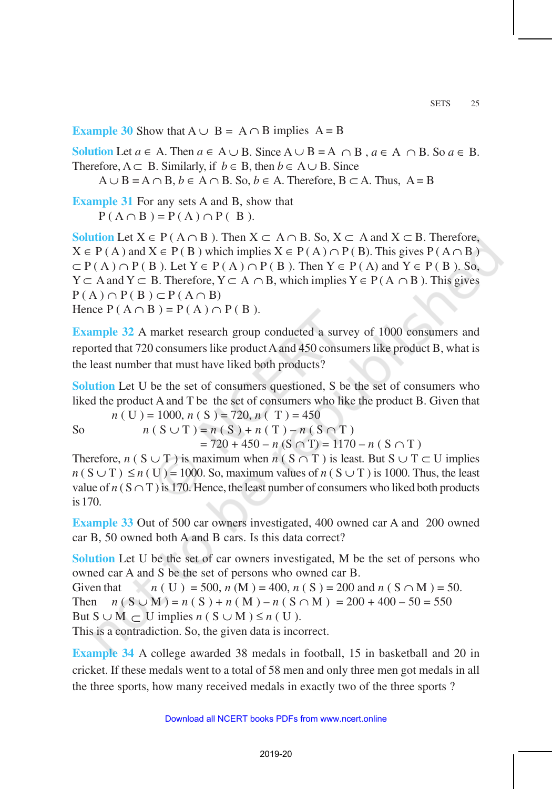**Example 30** Show that  $A \cup B = A \cap B$  implies  $A = B$ 

**Solution** Let *a* ∈ A. Then *a* ∈ A ∪ B. Since  $A \cup B = A \cap B$ , *a* ∈ A  $\cap B$ . So *a* ∈ B. Therefore,  $A \subset B$ . Similarly, if  $b \in B$ , then  $b \in A \cup B$ . Since

 $A \cup B = A \cap B$ ,  $b \in A \cap B$ . So,  $b \in A$ . Therefore,  $B \subset A$ . Thus,  $A = B$ 

**Example 31** For any sets A and B, show that  $P(A \cap B) = P(A) \cap P(B)$ .

**Solution** Let  $X \in P$  ( $A \cap B$ ). Then  $X \subset A \cap B$ . So,  $X \subset A$  and  $X \subset B$ . Therefore,  $X \in P(A)$  and  $X \in P(B)$  which implies  $X \in P(A) \cap P(B)$ . This gives  $P(A \cap B)$  $\subset P(A) \cap P(B)$ . Let  $Y \in P(A) \cap P(B)$ . Then  $Y \in P(A)$  and  $Y \in P(B)$ . So,  $Y \subset A$  and  $Y \subset B$ . Therefore,  $Y \subset A \cap B$ , which implies  $Y \in P(A \cap B)$ . This gives  $P(A) \cap P(B) \subset P(A \cap B)$ Hence  $P(A \cap B) = P(A) \cap P(B)$ .

**Example 32** A market research group conducted a survey of 1000 consumers and reported that 720 consumers like product A and 450 consumers like product B, what is the least number that must have liked both products?

**Solution** Let U be the set of consumers questioned, S be the set of consumers who liked the product A and T be the set of consumers who like the product B. Given that

$$
n(V) = 1000, n(S) = 720, n(T) = 450
$$

So  $n(S \cup T) = n(S) + n(T) - n(S \cap T)$ 

 $= 720 + 450 - n (S \cap T) = 1170 - n (S \cap T)$ 

Therefore, *n* ( S ∪ T ) is maximum when *n* ( S ∩ T ) is least. But S ∪ T  $\subset$  U implies  $n(S \cup T) \le n(U) = 1000$ . So, maximum values of *n* ( $S \cup T$ ) is 1000. Thus, the least value of  $n(S \cap T)$  is 170. Hence, the least number of consumers who liked both products is 170.

**Example 33** Out of 500 car owners investigated, 400 owned car A and 200 owned car B, 50 owned both A and B cars. Is this data correct?

**Solution** Let U be the set of car owners investigated, M be the set of persons who owned car A and S be the set of persons who owned car B.

Given that  $n(V) = 500$ ,  $n(M) = 400$ ,  $n(S) = 200$  and  $n(S \cap M) = 50$ . Then  $n(S \cup M) = n(S) + n(M) - n(S \cap M) = 200 + 400 - 50 = 550$ But  $S \cup M \subset U$  implies  $n(S \cup M) \leq n(U)$ .

This is a contradiction. So, the given data is incorrect.

**Example 34** A college awarded 38 medals in football, 15 in basketball and 20 in cricket. If these medals went to a total of 58 men and only three men got medals in all the three sports, how many received medals in exactly two of the three sports ?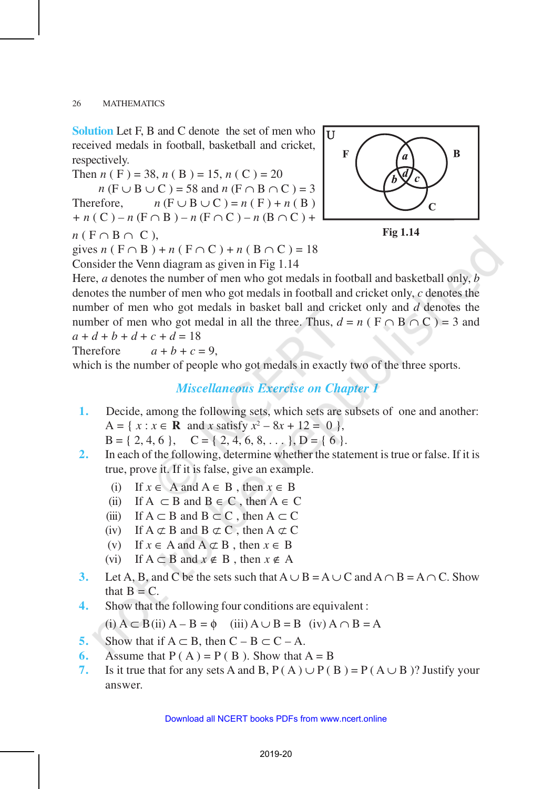**Solution** Let F, B and C denote the set of men who received medals in football, basketball and cricket, respectively.

Then *n* (F) = 38, *n* (B) = 15, *n* (C) = 20

 $n (F \cup B \cup C) = 58$  and  $n (F \cap B \cap C) = 3$ Therefore,  $n (F \cup B \cup C) = n (F) + n (B)$ *+ n* ( C ) *– n* (F ∩ B ) *– n* (F ∩ C ) – *n* (B ∩ C ) +

$$
n(F \cap B \cap C),
$$

gives *n* ( F ∩ B ) + *n* ( F ∩ C ) + *n* ( B ∩ C ) = 18

Consider the Venn diagram as given in Fig 1.14



**Fig 1.14**

Here, *a* denotes the number of men who got medals in football and basketball only, *b* denotes the number of men who got medals in football and cricket only, *c* denotes the number of men who got medals in basket ball and cricket only and *d* denotes the number of men who got medal in all the three. Thus,  $d = n$  ( $F \cap B \cap C$ ) = 3 and  $a + d + b + d + c + d = 18$ 

Therefore 
$$
a+b+c=9
$$
,

which is the number of people who got medals in exactly two of the three sports.

#### *Miscellaneous Exercise on Chapter 1*

- **1.** Decide, among the following sets, which sets are subsets of one and another:  $A = \{ x : x \in \mathbb{R} \text{ and } x \text{ satisfy } x^2 - 8x + 12 = 0 \},$  $B = \{ 2, 4, 6 \}, C = \{ 2, 4, 6, 8, \dots \}, D = \{ 6 \}.$
- **2.** In each of the following, determine whether the statement is true or false. If it is true, prove it. If it is false, give an example.

(i) If *x* ∈ A and A ∈ B , then *x* ∈ B

- (ii) If  $A \subset B$  and  $B \in C$ , then  $A \in C$
- (iii) If  $A \subset B$  and  $B \subset C$ , then  $A \subset C$
- (iv) If  $A \not\subset B$  and  $B \not\subset C$ , then  $A \not\subset C$
- (v) If  $x \in A$  and  $A \nsubseteq B$ , then  $x \in B$
- (vi) If A ⊂ B and *x* ∉ B , then *x* ∉ A
- **3.** Let A, B, and C be the sets such that  $A \cup B = A \cup C$  and  $A \cap B = A \cap C$ . Show that  $B = C$ .
- **4.** Show that the following four conditions are equivalent :

(i)  $A \subset B$ (ii)  $A - B = \phi$  (iii)  $A \cup B = B$  (iv)  $A \cap B = A$ 

- **5.** Show that if  $A \subset B$ , then  $C B \subset C A$ .
- **6.** Assume that  $P(A) = P(B)$ . Show that  $A = B$
- **7.** Is it true that for any sets A and B,  $P(A) \cup P(B) = P(A \cup B)$ ? Justify your answer.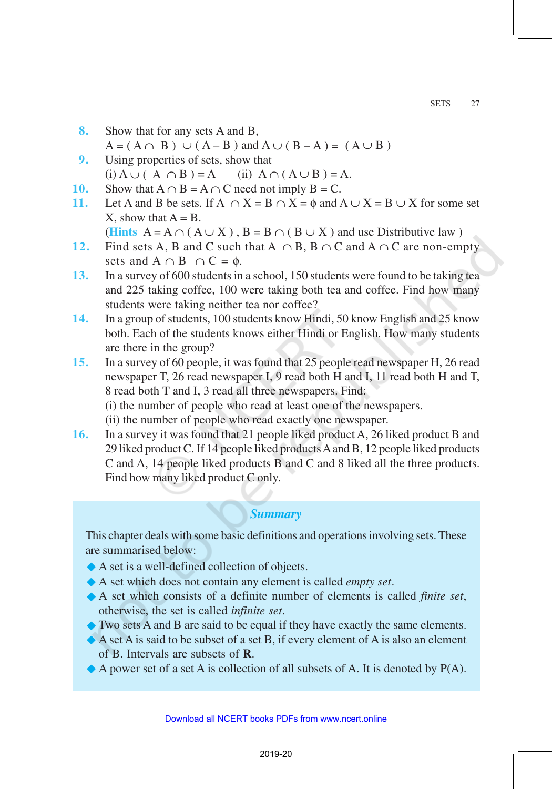- **8.** Show that for any sets A and B,  $A = (A \cap B) \cup (A - B)$  and  $A \cup (B - A) = (A \cup B)$
- **9.** Using properties of sets, show that  $(i) A ∪ (A ∩ B) = A$  (ii)  $A ∩ (A ∪ B) = A$ .
- **10.** Show that  $A \cap B = A \cap C$  need not imply  $B = C$ .
- **11.** Let A and B be sets. If  $A \cap X = B \cap X = \emptyset$  and  $A \cup X = B \cup X$  for some set X, show that  $A = B$ .
	- (**Hints**  $A = A \cap (A \cup X)$ ,  $B = B \cap (B \cup X)$  and use Distributive law)
- **12.** Find sets A, B and C such that  $A \cap B$ ,  $B \cap C$  and  $A \cap C$  are non-empty sets and  $A \cap B \cap C = \emptyset$ .
- **13.** In a survey of 600 students in a school, 150 students were found to be taking tea and 225 taking coffee, 100 were taking both tea and coffee. Find how many students were taking neither tea nor coffee?
- **14.** In a group of students, 100 students know Hindi, 50 know English and 25 know both. Each of the students knows either Hindi or English. How many students are there in the group?
- **15.** In a survey of 60 people, it was found that 25 people read newspaper H, 26 read newspaper T, 26 read newspaper I, 9 read both H and I, 11 read both H and T, 8 read both T and I, 3 read all three newspapers. Find:
	- (i) the number of people who read at least one of the newspapers.
	- (ii) the number of people who read exactly one newspaper.
- **16.** In a survey it was found that 21 people liked product A, 26 liked product B and 29 liked product C. If 14 people liked products A and B, 12 people liked products C and A, 14 people liked products B and C and 8 liked all the three products. Find how many liked product C only.

### *Summary*

This chapter deals with some basic definitions and operations involving sets. These are summarised below:

- ®A set is a well-defined collection of objects.
- ®A set which does not contain any element is called *empty set*.
- ®A set which consists of a definite number of elements is called *finite set*, otherwise, the set is called *infinite set*.
- ®Two sets A and B are said to be equal if they have exactly the same elements.
- ®A set A is said to be subset of a set B, if every element of A is also an element of B. Intervals are subsets of **R**.
- $\blacklozenge$  A power set of a set A is collection of all subsets of A. It is denoted by P(A).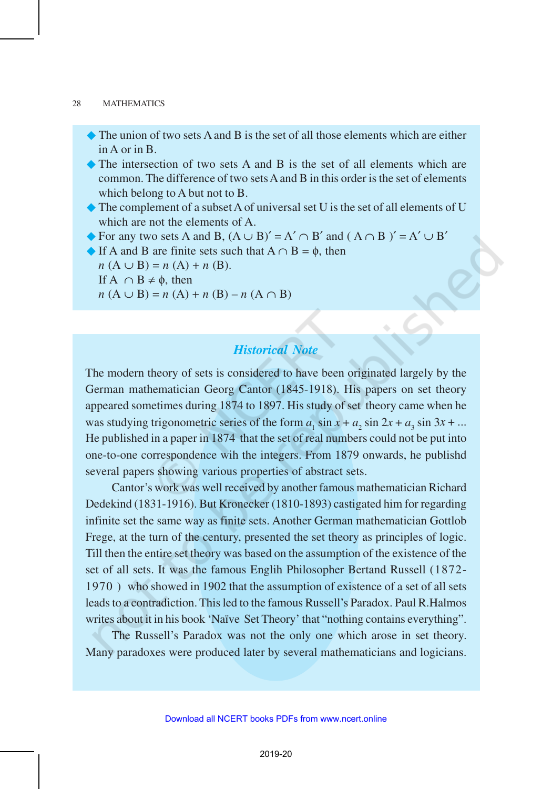- $\bullet$  The union of two sets A and B is the set of all those elements which are either in A or in B.
- ®The intersection of two sets A and B is the set of all elements which are common. The difference of two sets A and B in this order is the set of elements which belong to A but not to B.
- $\blacklozenge$  The complement of a subset A of universal set U is the set of all elements of U which are not the elements of A.

 $\blacklozenge$  For any two sets A and B,  $(A \cup B)' = A' \cap B'$  and  $(A \cap B)' = A' \cup B'$ 

 $\blacklozenge$  If A and B are finite sets such that  $A \cap B = \emptyset$ , then

 $n(A \cup B) = n(A) + n(B).$ 

If  $A \cap B \neq \emptyset$ , then

*n* (A ∪ B) = *n* (A) + *n* (B) – *n* (A ∩ B)

# *Historical Note*

The modern theory of sets is considered to have been originated largely by the German mathematician Georg Cantor (1845-1918). His papers on set theory appeared sometimes during 1874 to 1897. His study of set theory came when he was studying trigonometric series of the form  $a_1 \sin x + a_2 \sin 2x + a_3 \sin 3x + ...$ He published in a paper in 1874 that the set of real numbers could not be put into one-to-one correspondence wih the integers. From 1879 onwards, he publishd several papers showing various properties of abstract sets.

Cantor's work was well received by another famous mathematician Richard Dedekind (1831-1916). But Kronecker (1810-1893) castigated him for regarding infinite set the same way as finite sets. Another German mathematician Gottlob Frege, at the turn of the century, presented the set theory as principles of logic. Till then the entire set theory was based on the assumption of the existence of the set of all sets. It was the famous Englih Philosopher Bertand Russell (1872- 1970 ) who showed in 1902 that the assumption of existence of a set of all sets leads to a contradiction. This led to the famous Russell's Paradox. Paul R.Halmos writes about it in his book 'Naïve Set Theory' that "nothing contains everything".

The Russell's Paradox was not the only one which arose in set theory. Many paradoxes were produced later by several mathematicians and logicians.